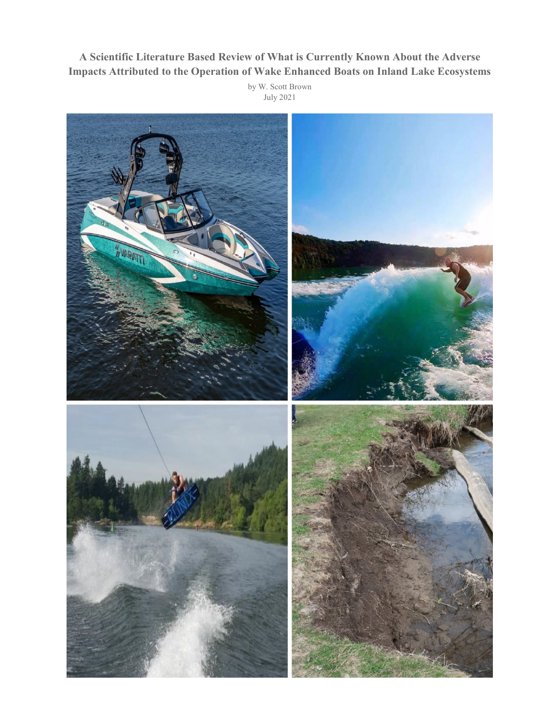## **A Scientific Literature Based Review of What is Currently Known About the Adverse Impacts Attributed to the Operation of Wake Enhanced Boats on Inland Lake Ecosystems**

by W. Scott Brown July 2021

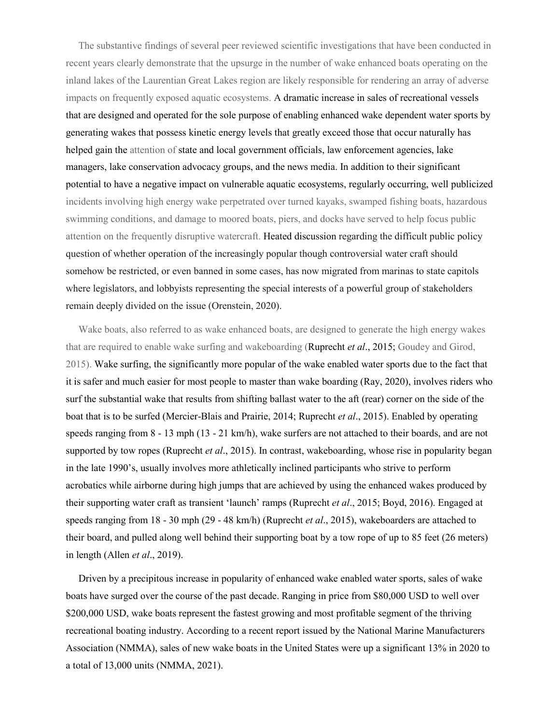The substantive findings of several peer reviewed scientific investigations that have been conducted in recent years clearly demonstrate that the upsurge in the number of wake enhanced boats operating on the inland lakes of the Laurentian Great Lakes region are likely responsible for rendering an array of adverse impacts on frequently exposed aquatic ecosystems. A dramatic increase in sales of recreational vessels that are designed and operated for the sole purpose of enabling enhanced wake dependent water sports by generating wakes that possess kinetic energy levels that greatly exceed those that occur naturally has helped gain the attention of state and local government officials, law enforcement agencies, lake managers, lake conservation advocacy groups, and the news media. In addition to their significant potential to have a negative impact on vulnerable aquatic ecosystems, regularly occurring, well publicized incidents involving high energy wake perpetrated over turned kayaks, swamped fishing boats, hazardous swimming conditions, and damage to moored boats, piers, and docks have served to help focus public attention on the frequently disruptive watercraft. Heated discussion regarding the difficult public policy question of whether operation of the increasingly popular though controversial water craft should somehow be restricted, or even banned in some cases, has now migrated from marinas to state capitols where legislators, and lobbyists representing the special interests of a powerful group of stakeholders remain deeply divided on the issue (Orenstein, 2020).

 Wake boats, also referred to as wake enhanced boats, are designed to generate the high energy wakes that are required to enable wake surfing and wakeboarding (Ruprecht *et al*., 2015; Goudey and Girod, 2015). Wake surfing, the significantly more popular of the wake enabled water sports due to the fact that it is safer and much easier for most people to master than wake boarding (Ray, 2020), involves riders who surf the substantial wake that results from shifting ballast water to the aft (rear) corner on the side of the boat that is to be surfed (Mercier-Blais and Prairie, 2014; Ruprecht *et al*., 2015). Enabled by operating speeds ranging from 8 - 13 mph (13 - 21 km/h), wake surfers are not attached to their boards, and are not supported by tow ropes (Ruprecht *et al*., 2015). In contrast, wakeboarding, whose rise in popularity began in the late 1990's, usually involves more athletically inclined participants who strive to perform acrobatics while airborne during high jumps that are achieved by using the enhanced wakes produced by their supporting water craft as transient 'launch' ramps (Ruprecht *et al*., 2015; Boyd, 2016). Engaged at speeds ranging from 18 - 30 mph (29 - 48 km/h) (Ruprecht *et al*., 2015), wakeboarders are attached to their board, and pulled along well behind their supporting boat by a tow rope of up to 85 feet (26 meters) in length (Allen *et al*., 2019).

 Driven by a precipitous increase in popularity of enhanced wake enabled water sports, sales of wake boats have surged over the course of the past decade. Ranging in price from \$80,000 USD to well over \$200,000 USD, wake boats represent the fastest growing and most profitable segment of the thriving recreational boating industry. According to a recent report issued by the National Marine Manufacturers Association (NMMA), sales of new wake boats in the United States were up a significant 13% in 2020 to a total of 13,000 units (NMMA, 2021).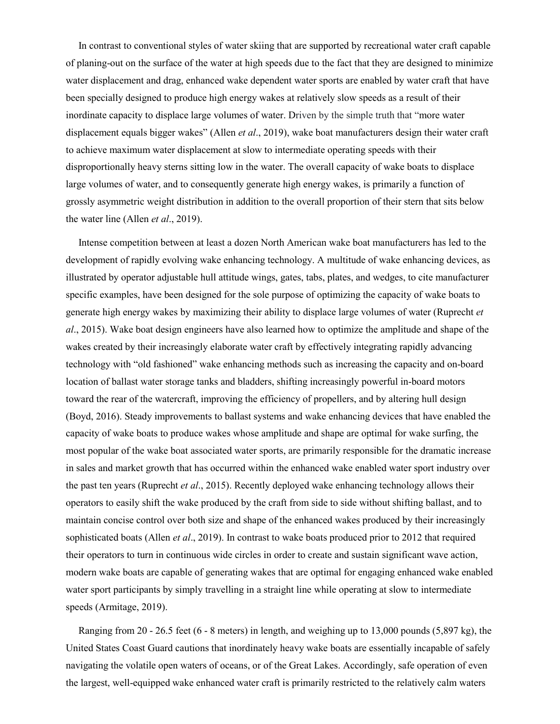In contrast to conventional styles of water skiing that are supported by recreational water craft capable of planing-out on the surface of the water at high speeds due to the fact that they are designed to minimize water displacement and drag, enhanced wake dependent water sports are enabled by water craft that have been specially designed to produce high energy wakes at relatively slow speeds as a result of their inordinate capacity to displace large volumes of water. Driven by the simple truth that "more water displacement equals bigger wakes" (Allen *et al*., 2019), wake boat manufacturers design their water craft to achieve maximum water displacement at slow to intermediate operating speeds with their disproportionally heavy sterns sitting low in the water. The overall capacity of wake boats to displace large volumes of water, and to consequently generate high energy wakes, is primarily a function of grossly asymmetric weight distribution in addition to the overall proportion of their stern that sits below the water line (Allen *et al*., 2019).

 Intense competition between at least a dozen North American wake boat manufacturers has led to the development of rapidly evolving wake enhancing technology. A multitude of wake enhancing devices, as illustrated by operator adjustable hull attitude wings, gates, tabs, plates, and wedges, to cite manufacturer specific examples, have been designed for the sole purpose of optimizing the capacity of wake boats to generate high energy wakes by maximizing their ability to displace large volumes of water (Ruprecht *et al*., 2015). Wake boat design engineers have also learned how to optimize the amplitude and shape of the wakes created by their increasingly elaborate water craft by effectively integrating rapidly advancing technology with "old fashioned" wake enhancing methods such as increasing the capacity and on-board location of ballast water storage tanks and bladders, shifting increasingly powerful in-board motors toward the rear of the watercraft, improving the efficiency of propellers, and by altering hull design (Boyd, 2016). Steady improvements to ballast systems and wake enhancing devices that have enabled the capacity of wake boats to produce wakes whose amplitude and shape are optimal for wake surfing, the most popular of the wake boat associated water sports, are primarily responsible for the dramatic increase in sales and market growth that has occurred within the enhanced wake enabled water sport industry over the past ten years (Ruprecht *et al*., 2015). Recently deployed wake enhancing technology allows their operators to easily shift the wake produced by the craft from side to side without shifting ballast, and to maintain concise control over both size and shape of the enhanced wakes produced by their increasingly sophisticated boats (Allen *et al*., 2019). In contrast to wake boats produced prior to 2012 that required their operators to turn in continuous wide circles in order to create and sustain significant wave action, modern wake boats are capable of generating wakes that are optimal for engaging enhanced wake enabled water sport participants by simply travelling in a straight line while operating at slow to intermediate speeds (Armitage, 2019).

 Ranging from 20 - 26.5 feet (6 - 8 meters) in length, and weighing up to 13,000 pounds (5,897 kg), the United States Coast Guard cautions that inordinately heavy wake boats are essentially incapable of safely navigating the volatile open waters of oceans, or of the Great Lakes. Accordingly, safe operation of even the largest, well-equipped wake enhanced water craft is primarily restricted to the relatively calm waters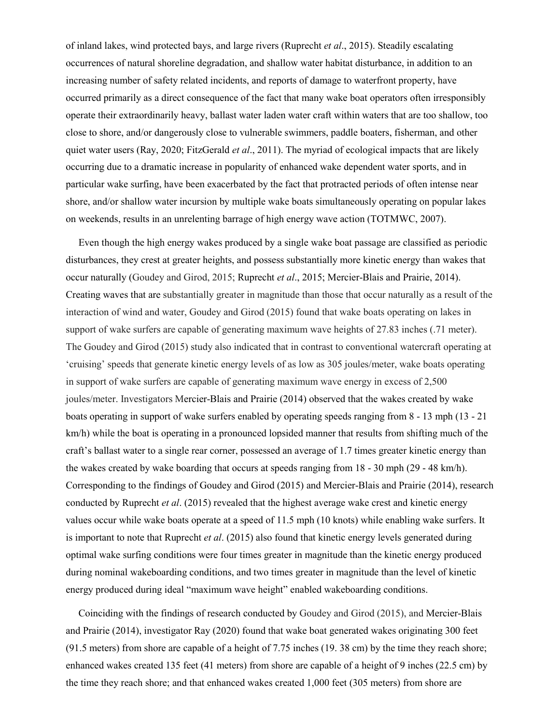of inland lakes, wind protected bays, and large rivers (Ruprecht *et al*., 2015). Steadily escalating occurrences of natural shoreline degradation, and shallow water habitat disturbance, in addition to an increasing number of safety related incidents, and reports of damage to waterfront property, have occurred primarily as a direct consequence of the fact that many wake boat operators often irresponsibly operate their extraordinarily heavy, ballast water laden water craft within waters that are too shallow, too close to shore, and/or dangerously close to vulnerable swimmers, paddle boaters, fisherman, and other quiet water users (Ray, 2020; FitzGerald *et al*., 2011). The myriad of ecological impacts that are likely occurring due to a dramatic increase in popularity of enhanced wake dependent water sports, and in particular wake surfing, have been exacerbated by the fact that protracted periods of often intense near shore, and/or shallow water incursion by multiple wake boats simultaneously operating on popular lakes on weekends, results in an unrelenting barrage of high energy wave action (TOTMWC, 2007).

 Even though the high energy wakes produced by a single wake boat passage are classified as periodic disturbances, they crest at greater heights, and possess substantially more kinetic energy than wakes that occur naturally (Goudey and Girod, 2015; Ruprecht *et al*., 2015; Mercier-Blais and Prairie, 2014). Creating waves that are substantially greater in magnitude than those that occur naturally as a result of the interaction of wind and water, Goudey and Girod (2015) found that wake boats operating on lakes in support of wake surfers are capable of generating maximum wave heights of 27.83 inches (.71 meter). The Goudey and Girod (2015) study also indicated that in contrast to conventional watercraft operating at 'cruising' speeds that generate kinetic energy levels of as low as 305 joules/meter, wake boats operating in support of wake surfers are capable of generating maximum wave energy in excess of 2,500 joules/meter. Investigators Mercier-Blais and Prairie (2014) observed that the wakes created by wake boats operating in support of wake surfers enabled by operating speeds ranging from 8 - 13 mph (13 - 21 km/h) while the boat is operating in a pronounced lopsided manner that results from shifting much of the craft's ballast water to a single rear corner, possessed an average of 1.7 times greater kinetic energy than the wakes created by wake boarding that occurs at speeds ranging from 18 - 30 mph (29 - 48 km/h). Corresponding to the findings of Goudey and Girod (2015) and Mercier-Blais and Prairie (2014), research conducted by Ruprecht *et al*. (2015) revealed that the highest average wake crest and kinetic energy values occur while wake boats operate at a speed of 11.5 mph (10 knots) while enabling wake surfers. It is important to note that Ruprecht *et al*. (2015) also found that kinetic energy levels generated during optimal wake surfing conditions were four times greater in magnitude than the kinetic energy produced during nominal wakeboarding conditions, and two times greater in magnitude than the level of kinetic energy produced during ideal "maximum wave height" enabled wakeboarding conditions.

 Coinciding with the findings of research conducted by Goudey and Girod (2015), and Mercier-Blais and Prairie (2014), investigator Ray (2020) found that wake boat generated wakes originating 300 feet (91.5 meters) from shore are capable of a height of 7.75 inches (19. 38 cm) by the time they reach shore; enhanced wakes created 135 feet (41 meters) from shore are capable of a height of 9 inches (22.5 cm) by the time they reach shore; and that enhanced wakes created 1,000 feet (305 meters) from shore are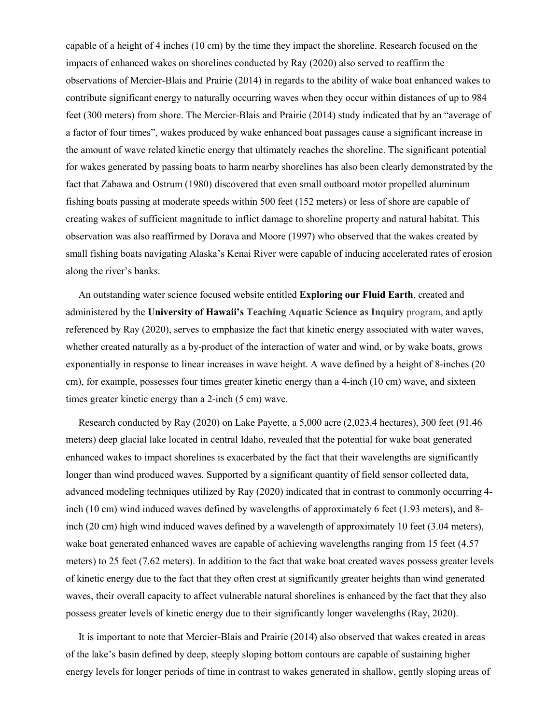capable of a height of 4 inches (10 cm) by the time they impact the shoreline. Research focused on the impacts of enhanced wakes on shorelines conducted by Ray (2020) also served to reaffirm the observations of Mercier-Blais and Prairie (2014) in regards to the ability of wake boat enhanced wakes to contribute significant energy to naturally occurring waves when they occur within distances of up to 984 feet (300 meters) from shore. The Mercier-Blais and Prairie (2014) study indicated that by an "average of a factor of four times", wakes produced by wake enhanced boat passages cause a significant increase in the amount of wave related kinetic energy that ultimately reaches the shoreline. The significant potential for wakes generated by passing boats to harm nearby shorelines has also been clearly demonstrated by the fact that Zabawa and Ostrum (1980) discovered that even small outboard motor propelled aluminum fishing boats passing at moderate speeds within 500 feet (152 meters) or less of shore are capable of creating wakes of sufficient magnitude to inflict damage to shoreline property and natural habitat. This observation was also reaffirmed by Dorava and Moore (1997) who observed that the wakes created by small fishing boats navigating Alaska's Kenai River were capable of inducing accelerated rates of erosion along the river's banks.

 An outstanding water science focused website entitled **Exploring our Fluid Earth**, created and administered by the **University of Hawaii's Teaching Aquatic Science as Inquiry** program, and aptly referenced by Ray (2020), serves to emphasize the fact that kinetic energy associated with water waves, whether created naturally as a by-product of the interaction of water and wind, or by wake boats, grows exponentially in response to linear increases in wave height. A wave defined by a height of 8-inches (20 cm), for example, possesses four times greater kinetic energy than a 4-inch (10 cm) wave, and sixteen times greater kinetic energy than a 2-inch (5 cm) wave.

 Research conducted by Ray (2020) on Lake Payette, a 5,000 acre (2,023.4 hectares), 300 feet (91.46 meters) deep glacial lake located in central Idaho, revealed that the potential for wake boat generated enhanced wakes to impact shorelines is exacerbated by the fact that their wavelengths are significantly longer than wind produced waves. Supported by a significant quantity of field sensor collected data, advanced modeling techniques utilized by Ray (2020) indicated that in contrast to commonly occurring 4 inch (10 cm) wind induced waves defined by wavelengths of approximately 6 feet (1.93 meters), and 8 inch (20 cm) high wind induced waves defined by a wavelength of approximately 10 feet (3.04 meters), wake boat generated enhanced waves are capable of achieving wavelengths ranging from 15 feet (4.57) meters) to 25 feet (7.62 meters). In addition to the fact that wake boat created waves possess greater levels of kinetic energy due to the fact that they often crest at significantly greater heights than wind generated waves, their overall capacity to affect vulnerable natural shorelines is enhanced by the fact that they also possess greater levels of kinetic energy due to their significantly longer wavelengths (Ray, 2020).

 It is important to note that Mercier-Blais and Prairie (2014) also observed that wakes created in areas of the lake's basin defined by deep, steeply sloping bottom contours are capable of sustaining higher energy levels for longer periods of time in contrast to wakes generated in shallow, gently sloping areas of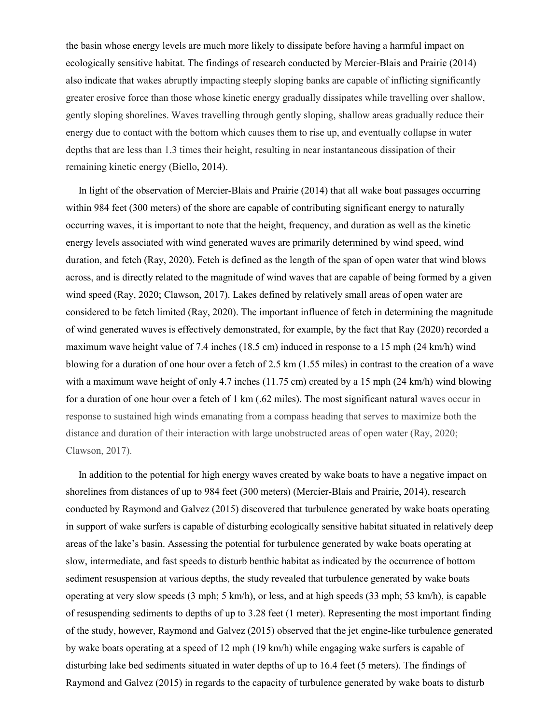the basin whose energy levels are much more likely to dissipate before having a harmful impact on ecologically sensitive habitat. The findings of research conducted by Mercier-Blais and Prairie (2014) also indicate that wakes abruptly impacting steeply sloping banks are capable of inflicting significantly greater erosive force than those whose kinetic energy gradually dissipates while travelling over shallow, gently sloping shorelines. Waves travelling through gently sloping, shallow areas gradually reduce their energy due to contact with the bottom which causes them to rise up, and eventually collapse in water depths that are less than 1.3 times their height, resulting in near instantaneous dissipation of their remaining kinetic energy (Biello, 2014).

 In light of the observation of Mercier-Blais and Prairie (2014) that all wake boat passages occurring within 984 feet (300 meters) of the shore are capable of contributing significant energy to naturally occurring waves, it is important to note that the height, frequency, and duration as well as the kinetic energy levels associated with wind generated waves are primarily determined by wind speed, wind duration, and fetch (Ray, 2020). Fetch is defined as the length of the span of open water that wind blows across, and is directly related to the magnitude of wind waves that are capable of being formed by a given wind speed (Ray, 2020; Clawson, 2017). Lakes defined by relatively small areas of open water are considered to be fetch limited (Ray, 2020). The important influence of fetch in determining the magnitude of wind generated waves is effectively demonstrated, for example, by the fact that Ray (2020) recorded a maximum wave height value of 7.4 inches (18.5 cm) induced in response to a 15 mph (24 km/h) wind blowing for a duration of one hour over a fetch of 2.5 km (1.55 miles) in contrast to the creation of a wave with a maximum wave height of only 4.7 inches (11.75 cm) created by a 15 mph (24 km/h) wind blowing for a duration of one hour over a fetch of 1 km (.62 miles). The most significant natural waves occur in response to sustained high winds emanating from a compass heading that serves to maximize both the distance and duration of their interaction with large unobstructed areas of open water (Ray, 2020; Clawson, 2017).

 In addition to the potential for high energy waves created by wake boats to have a negative impact on shorelines from distances of up to 984 feet (300 meters) (Mercier-Blais and Prairie, 2014), research conducted by Raymond and Galvez (2015) discovered that turbulence generated by wake boats operating in support of wake surfers is capable of disturbing ecologically sensitive habitat situated in relatively deep areas of the lake's basin. Assessing the potential for turbulence generated by wake boats operating at slow, intermediate, and fast speeds to disturb benthic habitat as indicated by the occurrence of bottom sediment resuspension at various depths, the study revealed that turbulence generated by wake boats operating at very slow speeds (3 mph; 5 km/h), or less, and at high speeds (33 mph; 53 km/h), is capable of resuspending sediments to depths of up to 3.28 feet (1 meter). Representing the most important finding of the study, however, Raymond and Galvez (2015) observed that the jet engine-like turbulence generated by wake boats operating at a speed of 12 mph (19 km/h) while engaging wake surfers is capable of disturbing lake bed sediments situated in water depths of up to 16.4 feet (5 meters). The findings of Raymond and Galvez (2015) in regards to the capacity of turbulence generated by wake boats to disturb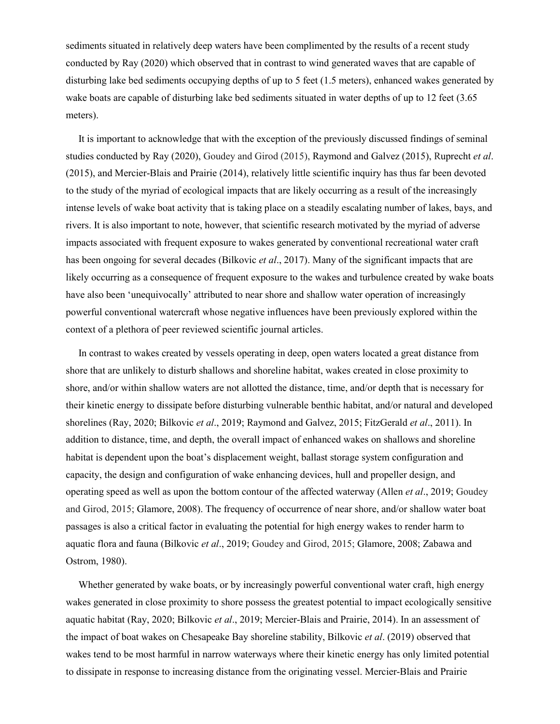sediments situated in relatively deep waters have been complimented by the results of a recent study conducted by Ray (2020) which observed that in contrast to wind generated waves that are capable of disturbing lake bed sediments occupying depths of up to 5 feet (1.5 meters), enhanced wakes generated by wake boats are capable of disturbing lake bed sediments situated in water depths of up to 12 feet (3.65) meters).

 It is important to acknowledge that with the exception of the previously discussed findings of seminal studies conducted by Ray (2020), Goudey and Girod (2015), Raymond and Galvez (2015), Ruprecht *et al*. (2015), and Mercier-Blais and Prairie (2014), relatively little scientific inquiry has thus far been devoted to the study of the myriad of ecological impacts that are likely occurring as a result of the increasingly intense levels of wake boat activity that is taking place on a steadily escalating number of lakes, bays, and rivers. It is also important to note, however, that scientific research motivated by the myriad of adverse impacts associated with frequent exposure to wakes generated by conventional recreational water craft has been ongoing for several decades (Bilkovic *et al*., 2017). Many of the significant impacts that are likely occurring as a consequence of frequent exposure to the wakes and turbulence created by wake boats have also been 'unequivocally' attributed to near shore and shallow water operation of increasingly powerful conventional watercraft whose negative influences have been previously explored within the context of a plethora of peer reviewed scientific journal articles.

 In contrast to wakes created by vessels operating in deep, open waters located a great distance from shore that are unlikely to disturb shallows and shoreline habitat, wakes created in close proximity to shore, and/or within shallow waters are not allotted the distance, time, and/or depth that is necessary for their kinetic energy to dissipate before disturbing vulnerable benthic habitat, and/or natural and developed shorelines (Ray, 2020; Bilkovic *et al*., 2019; Raymond and Galvez, 2015; FitzGerald *et al*., 2011). In addition to distance, time, and depth, the overall impact of enhanced wakes on shallows and shoreline habitat is dependent upon the boat's displacement weight, ballast storage system configuration and capacity, the design and configuration of wake enhancing devices, hull and propeller design, and operating speed as well as upon the bottom contour of the affected waterway (Allen *et al*., 2019; Goudey and Girod, 2015; Glamore, 2008). The frequency of occurrence of near shore, and/or shallow water boat passages is also a critical factor in evaluating the potential for high energy wakes to render harm to aquatic flora and fauna (Bilkovic *et al*., 2019; Goudey and Girod, 2015; Glamore, 2008; Zabawa and Ostrom, 1980).

 Whether generated by wake boats, or by increasingly powerful conventional water craft, high energy wakes generated in close proximity to shore possess the greatest potential to impact ecologically sensitive aquatic habitat (Ray, 2020; Bilkovic *et al*., 2019; Mercier-Blais and Prairie, 2014). In an assessment of the impact of boat wakes on Chesapeake Bay shoreline stability, Bilkovic *et al*. (2019) observed that wakes tend to be most harmful in narrow waterways where their kinetic energy has only limited potential to dissipate in response to increasing distance from the originating vessel. Mercier-Blais and Prairie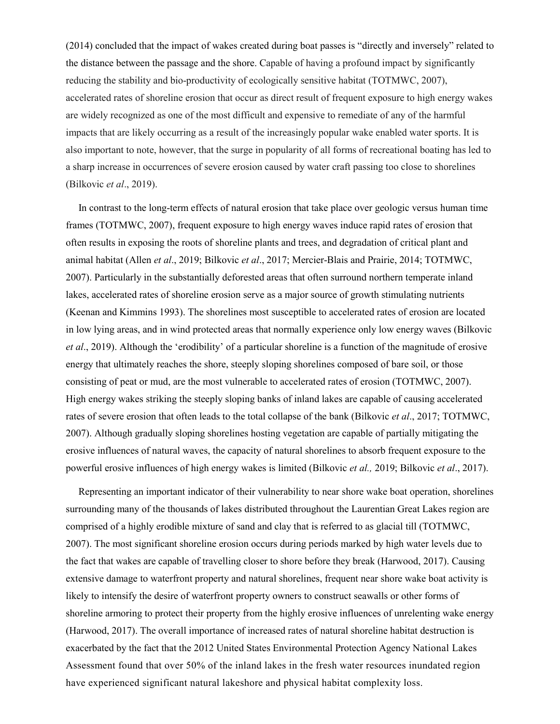(2014) concluded that the impact of wakes created during boat passes is "directly and inversely" related to the distance between the passage and the shore. Capable of having a profound impact by significantly reducing the stability and bio-productivity of ecologically sensitive habitat (TOTMWC, 2007), accelerated rates of shoreline erosion that occur as direct result of frequent exposure to high energy wakes are widely recognized as one of the most difficult and expensive to remediate of any of the harmful impacts that are likely occurring as a result of the increasingly popular wake enabled water sports. It is also important to note, however, that the surge in popularity of all forms of recreational boating has led to a sharp increase in occurrences of severe erosion caused by water craft passing too close to shorelines (Bilkovic *et al*., 2019).

 In contrast to the long-term effects of natural erosion that take place over geologic versus human time frames (TOTMWC, 2007), frequent exposure to high energy waves induce rapid rates of erosion that often results in exposing the roots of shoreline plants and trees, and degradation of critical plant and animal habitat (Allen *et al*., 2019; Bilkovic *et al*., 2017; Mercier-Blais and Prairie, 2014; TOTMWC, 2007). Particularly in the substantially deforested areas that often surround northern temperate inland lakes, accelerated rates of shoreline erosion serve as a major source of growth stimulating nutrients (Keenan and Kimmins 1993). The shorelines most susceptible to accelerated rates of erosion are located in low lying areas, and in wind protected areas that normally experience only low energy waves (Bilkovic *et al*., 2019). Although the 'erodibility' of a particular shoreline is a function of the magnitude of erosive energy that ultimately reaches the shore, steeply sloping shorelines composed of bare soil, or those consisting of peat or mud, are the most vulnerable to accelerated rates of erosion (TOTMWC, 2007). High energy wakes striking the steeply sloping banks of inland lakes are capable of causing accelerated rates of severe erosion that often leads to the total collapse of the bank (Bilkovic *et al*., 2017; TOTMWC, 2007). Although gradually sloping shorelines hosting vegetation are capable of partially mitigating the erosive influences of natural waves, the capacity of natural shorelines to absorb frequent exposure to the powerful erosive influences of high energy wakes is limited (Bilkovic *et al.,* 2019; Bilkovic *et al*., 2017).

 Representing an important indicator of their vulnerability to near shore wake boat operation, shorelines surrounding many of the thousands of lakes distributed throughout the Laurentian Great Lakes region are comprised of a highly erodible mixture of sand and clay that is referred to as glacial till (TOTMWC, 2007). The most significant shoreline erosion occurs during periods marked by high water levels due to the fact that wakes are capable of travelling closer to shore before they break (Harwood, 2017). Causing extensive damage to waterfront property and natural shorelines, frequent near shore wake boat activity is likely to intensify the desire of waterfront property owners to construct seawalls or other forms of shoreline armoring to protect their property from the highly erosive influences of unrelenting wake energy (Harwood, 2017). The overall importance of increased rates of natural shoreline habitat destruction is exacerbated by the fact that the 2012 United States Environmental Protection Agency National Lakes Assessment found that over 50% of the inland lakes in the fresh water resources inundated region have experienced significant natural lakeshore and physical habitat complexity loss.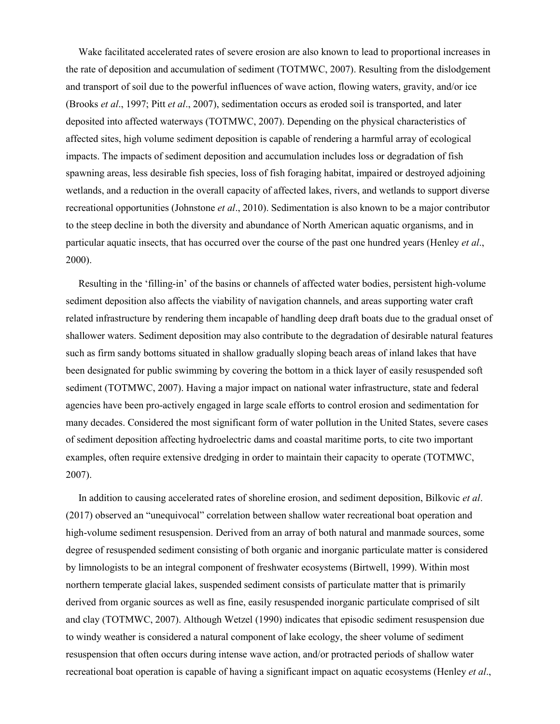Wake facilitated accelerated rates of severe erosion are also known to lead to proportional increases in the rate of deposition and accumulation of sediment (TOTMWC, 2007). Resulting from the dislodgement and transport of soil due to the powerful influences of wave action, flowing waters, gravity, and/or ice (Brooks *et al*., 1997; Pitt *et al*., 2007), sedimentation occurs as eroded soil is transported, and later deposited into affected waterways (TOTMWC, 2007). Depending on the physical characteristics of affected sites, high volume sediment deposition is capable of rendering a harmful array of ecological impacts. The impacts of sediment deposition and accumulation includes loss or degradation of fish spawning areas, less desirable fish species, loss of fish foraging habitat, impaired or destroyed adjoining wetlands, and a reduction in the overall capacity of affected lakes, rivers, and wetlands to support diverse recreational opportunities (Johnstone *et al*., 2010). Sedimentation is also known to be a major contributor to the steep decline in both the diversity and abundance of North American aquatic organisms, and in particular aquatic insects, that has occurred over the course of the past one hundred years (Henley *et al*., 2000).

 Resulting in the 'filling-in' of the basins or channels of affected water bodies, persistent high-volume sediment deposition also affects the viability of navigation channels, and areas supporting water craft related infrastructure by rendering them incapable of handling deep draft boats due to the gradual onset of shallower waters. Sediment deposition may also contribute to the degradation of desirable natural features such as firm sandy bottoms situated in shallow gradually sloping beach areas of inland lakes that have been designated for public swimming by covering the bottom in a thick layer of easily resuspended soft sediment (TOTMWC, 2007). Having a major impact on national water infrastructure, state and federal agencies have been pro-actively engaged in large scale efforts to control erosion and sedimentation for many decades. Considered the most significant form of water pollution in the United States, severe cases of sediment deposition affecting hydroelectric dams and coastal maritime ports, to cite two important examples, often require extensive dredging in order to maintain their capacity to operate (TOTMWC, 2007).

 In addition to causing accelerated rates of shoreline erosion, and sediment deposition, Bilkovic *et al*. (2017) observed an "unequivocal" correlation between shallow water recreational boat operation and high-volume sediment resuspension. Derived from an array of both natural and manmade sources, some degree of resuspended sediment consisting of both organic and inorganic particulate matter is considered by limnologists to be an integral component of freshwater ecosystems (Birtwell, 1999). Within most northern temperate glacial lakes, suspended sediment consists of particulate matter that is primarily derived from organic sources as well as fine, easily resuspended inorganic particulate comprised of silt and clay (TOTMWC, 2007). Although Wetzel (1990) indicates that episodic sediment resuspension due to windy weather is considered a natural component of lake ecology, the sheer volume of sediment resuspension that often occurs during intense wave action, and/or protracted periods of shallow water recreational boat operation is capable of having a significant impact on aquatic ecosystems (Henley *et al*.,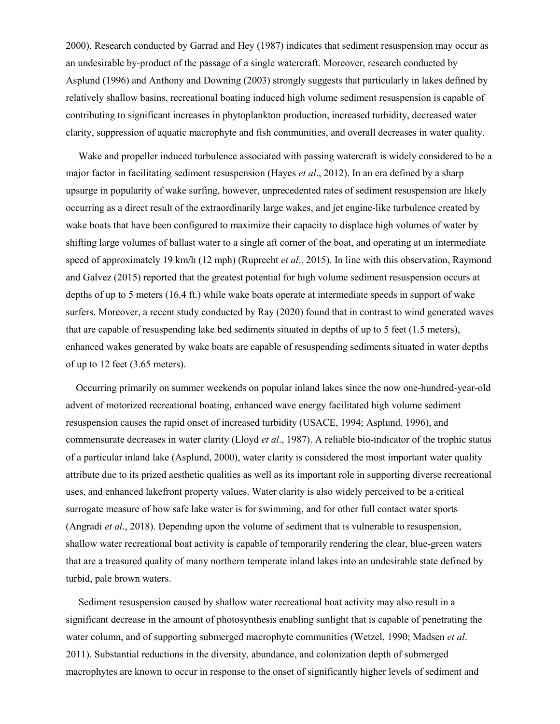2000). Research conducted by Garrad and Hey (1987) indicates that sediment resuspension may occur as an undesirable by-product of the passage of a single watercraft. Moreover, research conducted by Asplund (1996) and Anthony and Downing (2003) strongly suggests that particularly in lakes defined by relatively shallow basins, recreational boating induced high volume sediment resuspension is capable of contributing to significant increases in phytoplankton production, increased turbidity, decreased water clarity, suppression of aquatic macrophyte and fish communities, and overall decreases in water quality.

 Wake and propeller induced turbulence associated with passing watercraft is widely considered to be a major factor in facilitating sediment resuspension (Hayes *et al*., 2012). In an era defined by a sharp upsurge in popularity of wake surfing, however, unprecedented rates of sediment resuspension are likely occurring as a direct result of the extraordinarily large wakes, and jet engine-like turbulence created by wake boats that have been configured to maximize their capacity to displace high volumes of water by shifting large volumes of ballast water to a single aft corner of the boat, and operating at an intermediate speed of approximately 19 km/h (12 mph) (Ruprecht *et al*., 2015). In line with this observation, Raymond and Galvez (2015) reported that the greatest potential for high volume sediment resuspension occurs at depths of up to 5 meters (16.4 ft.) while wake boats operate at intermediate speeds in support of wake surfers. Moreover, a recent study conducted by Ray (2020) found that in contrast to wind generated waves that are capable of resuspending lake bed sediments situated in depths of up to 5 feet (1.5 meters), enhanced wakes generated by wake boats are capable of resuspending sediments situated in water depths of up to 12 feet (3.65 meters).

 Occurring primarily on summer weekends on popular inland lakes since the now one-hundred-year-old advent of motorized recreational boating, enhanced wave energy facilitated high volume sediment resuspension causes the rapid onset of increased turbidity (USACE, 1994; Asplund, 1996), and commensurate decreases in water clarity (Lloyd *et al*., 1987). A reliable bio-indicator of the trophic status of a particular inland lake (Asplund, 2000), water clarity is considered the most important water quality attribute due to its prized aesthetic qualities as well as its important role in supporting diverse recreational uses, and enhanced lakefront property values. Water clarity is also widely perceived to be a critical surrogate measure of how safe lake water is for swimming, and for other full contact water sports (Angradi *et al*., 2018). Depending upon the volume of sediment that is vulnerable to resuspension, shallow water recreational boat activity is capable of temporarily rendering the clear, blue-green waters that are a treasured quality of many northern temperate inland lakes into an undesirable state defined by turbid, pale brown waters.

 Sediment resuspension caused by shallow water recreational boat activity may also result in a significant decrease in the amount of photosynthesis enabling sunlight that is capable of penetrating the water column, and of supporting submerged macrophyte communities (Wetzel, 1990; Madsen *et al*. 2011). Substantial reductions in the diversity, abundance, and colonization depth of submerged macrophytes are known to occur in response to the onset of significantly higher levels of sediment and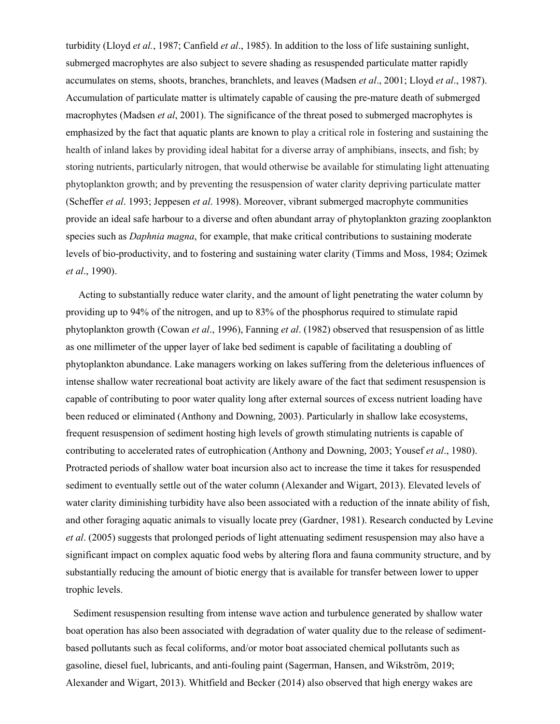turbidity (Lloyd *et al.*, 1987; Canfield *et al*., 1985). In addition to the loss of life sustaining sunlight, submerged macrophytes are also subject to severe shading as resuspended particulate matter rapidly accumulates on stems, shoots, branches, branchlets, and leaves (Madsen *et al*., 2001; Lloyd *et al*., 1987). Accumulation of particulate matter is ultimately capable of causing the pre-mature death of submerged macrophytes (Madsen *et al*, 2001). The significance of the threat posed to submerged macrophytes is emphasized by the fact that aquatic plants are known to play a critical role in fostering and sustaining the health of inland lakes by providing ideal habitat for a diverse array of amphibians, insects, and fish; by storing nutrients, particularly nitrogen, that would otherwise be available for stimulating light attenuating phytoplankton growth; and by preventing the resuspension of water clarity depriving particulate matter (Scheffer *et al*. 1993; Jeppesen *et al*. 1998). Moreover, vibrant submerged macrophyte communities provide an ideal safe harbour to a diverse and often abundant array of phytoplankton grazing zooplankton species such as *Daphnia magna*, for example, that make critical contributions to sustaining moderate levels of bio-productivity, and to fostering and sustaining water clarity (Timms and Moss, 1984; Ozimek *et al*., 1990).

 Acting to substantially reduce water clarity, and the amount of light penetrating the water column by providing up to 94% of the nitrogen, and up to 83% of the phosphorus required to stimulate rapid phytoplankton growth (Cowan *et al*., 1996), Fanning *et al*. (1982) observed that resuspension of as little as one millimeter of the upper layer of lake bed sediment is capable of facilitating a doubling of phytoplankton abundance. Lake managers working on lakes suffering from the deleterious influences of intense shallow water recreational boat activity are likely aware of the fact that sediment resuspension is capable of contributing to poor water quality long after external sources of excess nutrient loading have been reduced or eliminated (Anthony and Downing, 2003). Particularly in shallow lake ecosystems, frequent resuspension of sediment hosting high levels of growth stimulating nutrients is capable of contributing to accelerated rates of eutrophication (Anthony and Downing, 2003; Yousef *et al*., 1980). Protracted periods of shallow water boat incursion also act to increase the time it takes for resuspended sediment to eventually settle out of the water column (Alexander and Wigart, 2013). Elevated levels of water clarity diminishing turbidity have also been associated with a reduction of the innate ability of fish, and other foraging aquatic animals to visually locate prey (Gardner, 1981). Research conducted by Levine *et al*. (2005) suggests that prolonged periods of light attenuating sediment resuspension may also have a significant impact on complex aquatic food webs by altering flora and fauna community structure, and by substantially reducing the amount of biotic energy that is available for transfer between lower to upper trophic levels.

 Sediment resuspension resulting from intense wave action and turbulence generated by shallow water boat operation has also been associated with degradation of water quality due to the release of sedimentbased pollutants such as fecal coliforms, and/or motor boat associated chemical pollutants such as gasoline, diesel fuel, lubricants, and anti-fouling paint (Sagerman, Hansen, and Wikström, 2019; Alexander and Wigart, 2013). Whitfield and Becker (2014) also observed that high energy wakes are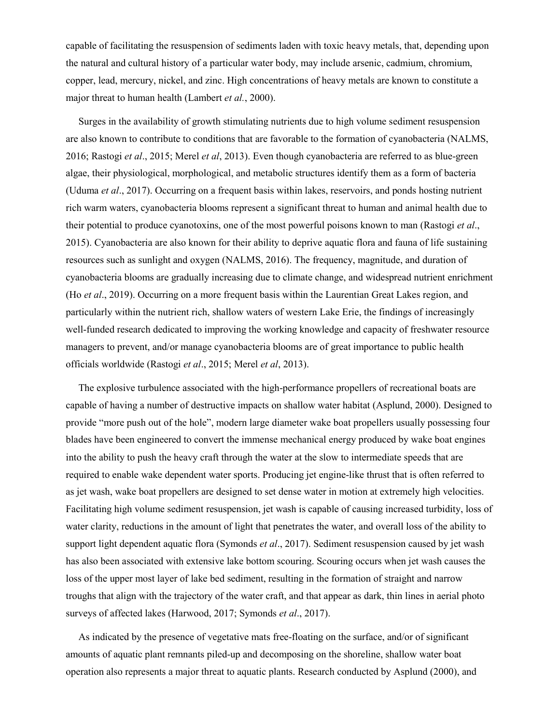capable of facilitating the resuspension of sediments laden with toxic heavy metals, that, depending upon the natural and cultural history of a particular water body, may include arsenic, cadmium, chromium, copper, lead, mercury, nickel, and zinc. High concentrations of heavy metals are known to constitute a major threat to human health (Lambert *et al.*, 2000).

 Surges in the availability of growth stimulating nutrients due to high volume sediment resuspension are also known to contribute to conditions that are favorable to the formation of cyanobacteria (NALMS, 2016; Rastogi *et al*., 2015; Merel *et al*, 2013). Even though cyanobacteria are referred to as blue-green algae, their physiological, morphological, and metabolic structures identify them as a form of bacteria (Uduma *et al*., 2017). Occurring on a frequent basis within lakes, reservoirs, and ponds hosting nutrient rich warm waters, cyanobacteria blooms represent a significant threat to human and animal health due to their potential to produce cyanotoxins, one of the most powerful poisons known to man (Rastogi *et al*., 2015). Cyanobacteria are also known for their ability to deprive aquatic flora and fauna of life sustaining resources such as sunlight and oxygen (NALMS, 2016). The frequency, magnitude, and duration of cyanobacteria blooms are gradually increasing due to climate change, and widespread nutrient enrichment (Ho *et al*., 2019). Occurring on a more frequent basis within the Laurentian Great Lakes region, and particularly within the nutrient rich, shallow waters of western Lake Erie, the findings of increasingly well-funded research dedicated to improving the working knowledge and capacity of freshwater resource managers to prevent, and/or manage cyanobacteria blooms are of great importance to public health officials worldwide (Rastogi *et al*., 2015; Merel *et al*, 2013).

 The explosive turbulence associated with the high-performance propellers of recreational boats are capable of having a number of destructive impacts on shallow water habitat (Asplund, 2000). Designed to provide "more push out of the hole", modern large diameter wake boat propellers usually possessing four blades have been engineered to convert the immense mechanical energy produced by wake boat engines into the ability to push the heavy craft through the water at the slow to intermediate speeds that are required to enable wake dependent water sports. Producing jet engine-like thrust that is often referred to as jet wash, wake boat propellers are designed to set dense water in motion at extremely high velocities. Facilitating high volume sediment resuspension, jet wash is capable of causing increased turbidity, loss of water clarity, reductions in the amount of light that penetrates the water, and overall loss of the ability to support light dependent aquatic flora (Symonds *et al*., 2017). Sediment resuspension caused by jet wash has also been associated with extensive lake bottom scouring. Scouring occurs when jet wash causes the loss of the upper most layer of lake bed sediment, resulting in the formation of straight and narrow troughs that align with the trajectory of the water craft, and that appear as dark, thin lines in aerial photo surveys of affected lakes (Harwood, 2017; Symonds *et al*., 2017).

 As indicated by the presence of vegetative mats free-floating on the surface, and/or of significant amounts of aquatic plant remnants piled-up and decomposing on the shoreline, shallow water boat operation also represents a major threat to aquatic plants. Research conducted by Asplund (2000), and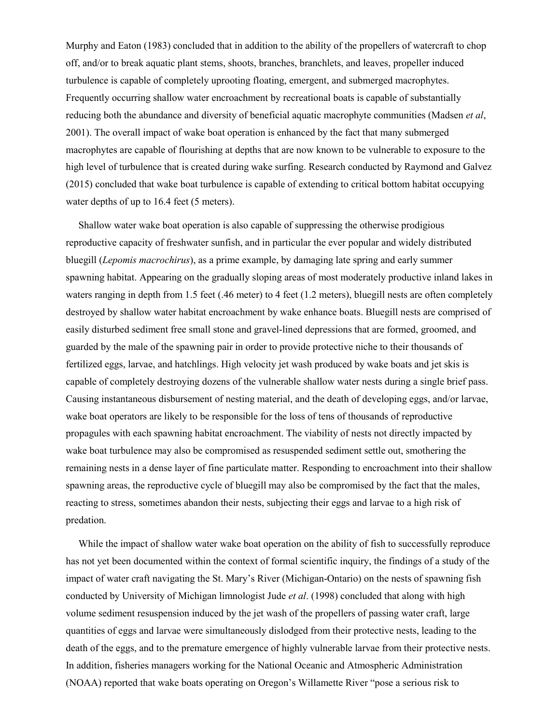Murphy and Eaton (1983) concluded that in addition to the ability of the propellers of watercraft to chop off, and/or to break aquatic plant stems, shoots, branches, branchlets, and leaves, propeller induced turbulence is capable of completely uprooting floating, emergent, and submerged macrophytes. Frequently occurring shallow water encroachment by recreational boats is capable of substantially reducing both the abundance and diversity of beneficial aquatic macrophyte communities (Madsen *et al*, 2001). The overall impact of wake boat operation is enhanced by the fact that many submerged macrophytes are capable of flourishing at depths that are now known to be vulnerable to exposure to the high level of turbulence that is created during wake surfing. Research conducted by Raymond and Galvez (2015) concluded that wake boat turbulence is capable of extending to critical bottom habitat occupying water depths of up to 16.4 feet (5 meters).

 Shallow water wake boat operation is also capable of suppressing the otherwise prodigious reproductive capacity of freshwater sunfish, and in particular the ever popular and widely distributed bluegill (*Lepomis macrochirus*), as a prime example, by damaging late spring and early summer spawning habitat. Appearing on the gradually sloping areas of most moderately productive inland lakes in waters ranging in depth from 1.5 feet (.46 meter) to 4 feet (1.2 meters), bluegill nests are often completely destroyed by shallow water habitat encroachment by wake enhance boats. Bluegill nests are comprised of easily disturbed sediment free small stone and gravel-lined depressions that are formed, groomed, and guarded by the male of the spawning pair in order to provide protective niche to their thousands of fertilized eggs, larvae, and hatchlings. High velocity jet wash produced by wake boats and jet skis is capable of completely destroying dozens of the vulnerable shallow water nests during a single brief pass. Causing instantaneous disbursement of nesting material, and the death of developing eggs, and/or larvae, wake boat operators are likely to be responsible for the loss of tens of thousands of reproductive propagules with each spawning habitat encroachment. The viability of nests not directly impacted by wake boat turbulence may also be compromised as resuspended sediment settle out, smothering the remaining nests in a dense layer of fine particulate matter. Responding to encroachment into their shallow spawning areas, the reproductive cycle of bluegill may also be compromised by the fact that the males, reacting to stress, sometimes abandon their nests, subjecting their eggs and larvae to a high risk of predation.

While the impact of shallow water wake boat operation on the ability of fish to successfully reproduce has not yet been documented within the context of formal scientific inquiry, the findings of a study of the impact of water craft navigating the St. Mary's River (Michigan-Ontario) on the nests of spawning fish conducted by University of Michigan limnologist Jude *et al*. (1998) concluded that along with high volume sediment resuspension induced by the jet wash of the propellers of passing water craft, large quantities of eggs and larvae were simultaneously dislodged from their protective nests, leading to the death of the eggs, and to the premature emergence of highly vulnerable larvae from their protective nests. In addition, fisheries managers working for the National Oceanic and Atmospheric Administration (NOAA) reported that wake boats operating on Oregon's Willamette River "pose a serious risk to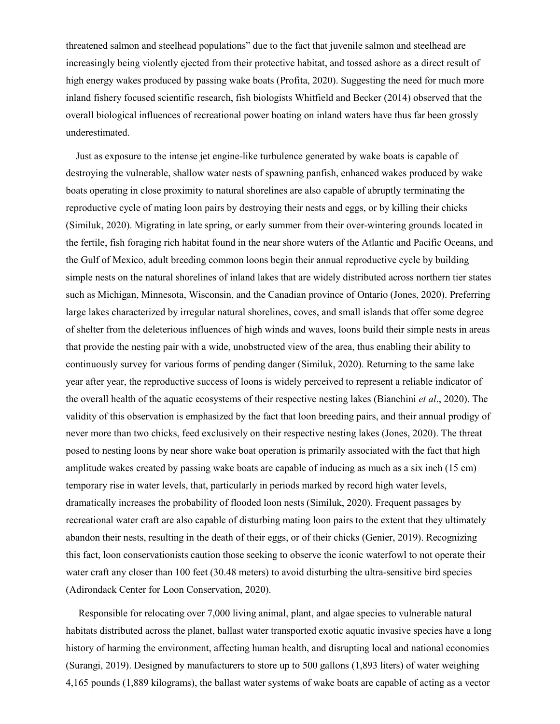threatened salmon and steelhead populations" due to the fact that juvenile salmon and steelhead are increasingly being violently ejected from their protective habitat, and tossed ashore as a direct result of high energy wakes produced by passing wake boats (Profita, 2020). Suggesting the need for much more inland fishery focused scientific research, fish biologists Whitfield and Becker (2014) observed that the overall biological influences of recreational power boating on inland waters have thus far been grossly underestimated.

 Just as exposure to the intense jet engine-like turbulence generated by wake boats is capable of destroying the vulnerable, shallow water nests of spawning panfish, enhanced wakes produced by wake boats operating in close proximity to natural shorelines are also capable of abruptly terminating the reproductive cycle of mating loon pairs by destroying their nests and eggs, or by killing their chicks (Similuk, 2020). Migrating in late spring, or early summer from their over-wintering grounds located in the fertile, fish foraging rich habitat found in the near shore waters of the Atlantic and Pacific Oceans, and the Gulf of Mexico, adult breeding common loons begin their annual reproductive cycle by building simple nests on the natural shorelines of inland lakes that are widely distributed across northern tier states such as Michigan, Minnesota, Wisconsin, and the Canadian province of Ontario (Jones, 2020). Preferring large lakes characterized by irregular natural shorelines, coves, and small islands that offer some degree of shelter from the deleterious influences of high winds and waves, loons build their simple nests in areas that provide the nesting pair with a wide, unobstructed view of the area, thus enabling their ability to continuously survey for various forms of pending danger (Similuk, 2020). Returning to the same lake year after year, the reproductive success of loons is widely perceived to represent a reliable indicator of the overall health of the aquatic ecosystems of their respective nesting lakes (Bianchini *et al*., 2020). The validity of this observation is emphasized by the fact that loon breeding pairs, and their annual prodigy of never more than two chicks, feed exclusively on their respective nesting lakes (Jones, 2020). The threat posed to nesting loons by near shore wake boat operation is primarily associated with the fact that high amplitude wakes created by passing wake boats are capable of inducing as much as a six inch (15 cm) temporary rise in water levels, that, particularly in periods marked by record high water levels, dramatically increases the probability of flooded loon nests (Similuk, 2020). Frequent passages by recreational water craft are also capable of disturbing mating loon pairs to the extent that they ultimately abandon their nests, resulting in the death of their eggs, or of their chicks (Genier, 2019). Recognizing this fact, loon conservationists caution those seeking to observe the iconic waterfowl to not operate their water craft any closer than 100 feet (30.48 meters) to avoid disturbing the ultra-sensitive bird species (Adirondack Center for Loon Conservation, 2020).

 Responsible for relocating over 7,000 living animal, plant, and algae species to vulnerable natural habitats distributed across the planet, ballast water transported exotic aquatic invasive species have a long history of harming the environment, affecting human health, and disrupting local and national economies (Surangi, 2019). Designed by manufacturers to store up to 500 gallons (1,893 liters) of water weighing 4,165 pounds (1,889 kilograms), the ballast water systems of wake boats are capable of acting as a vector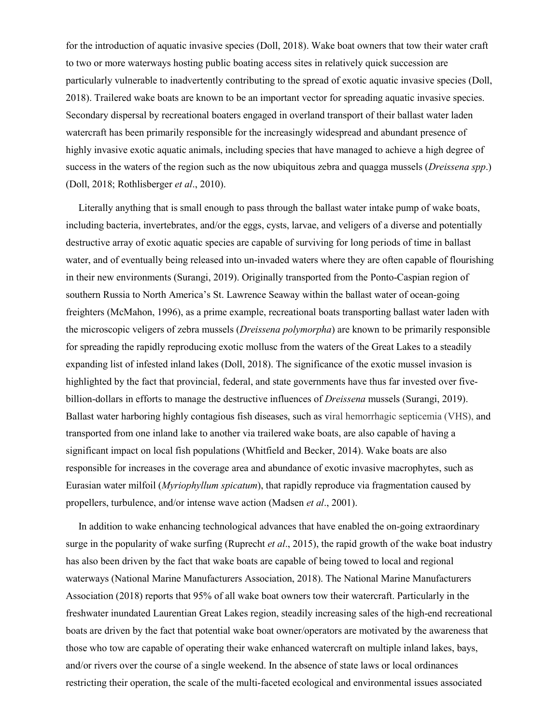for the introduction of aquatic invasive species (Doll, 2018). Wake boat owners that tow their water craft to two or more waterways hosting public boating access sites in relatively quick succession are particularly vulnerable to inadvertently contributing to the spread of exotic aquatic invasive species (Doll, 2018). Trailered wake boats are known to be an important vector for spreading aquatic invasive species. Secondary dispersal by recreational boaters engaged in overland transport of their ballast water laden watercraft has been primarily responsible for the increasingly widespread and abundant presence of highly invasive exotic aquatic animals, including species that have managed to achieve a high degree of success in the waters of the region such as the now ubiquitous zebra and quagga mussels (*Dreissena spp*.) (Doll, 2018; Rothlisberger *et al*., 2010).

 Literally anything that is small enough to pass through the ballast water intake pump of wake boats, including bacteria, invertebrates, and/or the eggs, cysts, larvae, and veligers of a diverse and potentially destructive array of exotic aquatic species are capable of surviving for long periods of time in ballast water, and of eventually being released into un-invaded waters where they are often capable of flourishing in their new environments (Surangi, 2019). Originally transported from the Ponto-Caspian region of southern Russia to North America's St. Lawrence Seaway within the ballast water of ocean-going freighters (McMahon, 1996), as a prime example, recreational boats transporting ballast water laden with the microscopic veligers of zebra mussels (*Dreissena polymorpha*) are known to be primarily responsible for spreading the rapidly reproducing exotic mollusc from the waters of the Great Lakes to a steadily expanding list of infested inland lakes (Doll, 2018). The significance of the exotic mussel invasion is highlighted by the fact that provincial, federal, and state governments have thus far invested over fivebillion-dollars in efforts to manage the destructive influences of *Dreissena* mussels (Surangi, 2019). Ballast water harboring highly contagious fish diseases, such as viral hemorrhagic septicemia (VHS), and transported from one inland lake to another via trailered wake boats, are also capable of having a significant impact on local fish populations (Whitfield and Becker, 2014). Wake boats are also responsible for increases in the coverage area and abundance of exotic invasive macrophytes, such as Eurasian water milfoil (*Myriophyllum spicatum*), that rapidly reproduce via fragmentation caused by propellers, turbulence, and/or intense wave action (Madsen *et al*., 2001).

 In addition to wake enhancing technological advances that have enabled the on-going extraordinary surge in the popularity of wake surfing (Ruprecht *et al*., 2015), the rapid growth of the wake boat industry has also been driven by the fact that wake boats are capable of being towed to local and regional waterways (National Marine Manufacturers Association, 2018). The National Marine Manufacturers Association (2018) reports that 95% of all wake boat owners tow their watercraft. Particularly in the freshwater inundated Laurentian Great Lakes region, steadily increasing sales of the high-end recreational boats are driven by the fact that potential wake boat owner/operators are motivated by the awareness that those who tow are capable of operating their wake enhanced watercraft on multiple inland lakes, bays, and/or rivers over the course of a single weekend. In the absence of state laws or local ordinances restricting their operation, the scale of the multi-faceted ecological and environmental issues associated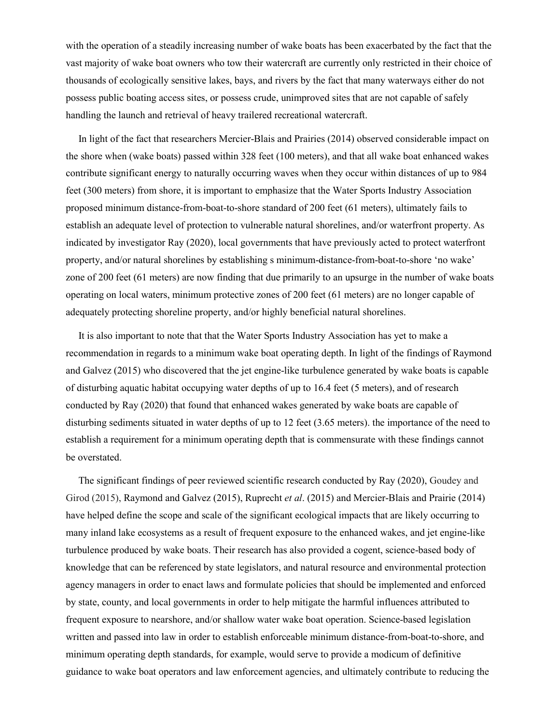with the operation of a steadily increasing number of wake boats has been exacerbated by the fact that the vast majority of wake boat owners who tow their watercraft are currently only restricted in their choice of thousands of ecologically sensitive lakes, bays, and rivers by the fact that many waterways either do not possess public boating access sites, or possess crude, unimproved sites that are not capable of safely handling the launch and retrieval of heavy trailered recreational watercraft.

 In light of the fact that researchers Mercier-Blais and Prairies (2014) observed considerable impact on the shore when (wake boats) passed within 328 feet (100 meters), and that all wake boat enhanced wakes contribute significant energy to naturally occurring waves when they occur within distances of up to 984 feet (300 meters) from shore, it is important to emphasize that the Water Sports Industry Association proposed minimum distance-from-boat-to-shore standard of 200 feet (61 meters), ultimately fails to establish an adequate level of protection to vulnerable natural shorelines, and/or waterfront property. As indicated by investigator Ray (2020), local governments that have previously acted to protect waterfront property, and/or natural shorelines by establishing s minimum-distance-from-boat-to-shore 'no wake' zone of 200 feet (61 meters) are now finding that due primarily to an upsurge in the number of wake boats operating on local waters, minimum protective zones of 200 feet (61 meters) are no longer capable of adequately protecting shoreline property, and/or highly beneficial natural shorelines.

 It is also important to note that that the Water Sports Industry Association has yet to make a recommendation in regards to a minimum wake boat operating depth. In light of the findings of Raymond and Galvez (2015) who discovered that the jet engine-like turbulence generated by wake boats is capable of disturbing aquatic habitat occupying water depths of up to 16.4 feet (5 meters), and of research conducted by Ray (2020) that found that enhanced wakes generated by wake boats are capable of disturbing sediments situated in water depths of up to 12 feet (3.65 meters). the importance of the need to establish a requirement for a minimum operating depth that is commensurate with these findings cannot be overstated.

 The significant findings of peer reviewed scientific research conducted by Ray (2020), Goudey and Girod (2015), Raymond and Galvez (2015), Ruprecht *et al*. (2015) and Mercier-Blais and Prairie (2014) have helped define the scope and scale of the significant ecological impacts that are likely occurring to many inland lake ecosystems as a result of frequent exposure to the enhanced wakes, and jet engine-like turbulence produced by wake boats. Their research has also provided a cogent, science-based body of knowledge that can be referenced by state legislators, and natural resource and environmental protection agency managers in order to enact laws and formulate policies that should be implemented and enforced by state, county, and local governments in order to help mitigate the harmful influences attributed to frequent exposure to nearshore, and/or shallow water wake boat operation. Science-based legislation written and passed into law in order to establish enforceable minimum distance-from-boat-to-shore, and minimum operating depth standards, for example, would serve to provide a modicum of definitive guidance to wake boat operators and law enforcement agencies, and ultimately contribute to reducing the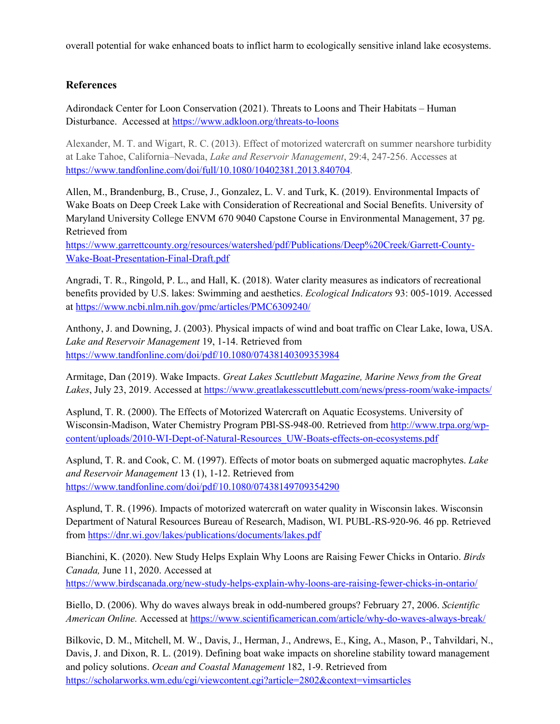overall potential for wake enhanced boats to inflict harm to ecologically sensitive inland lake ecosystems.

## **References**

Adirondack Center for Loon Conservation (2021). Threats to Loons and Their Habitats – Human Disturbance. Accessed at<https://www.adkloon.org/threats-to-loons>

Alexander, M. T. and Wigart, R. C. (2013). Effect of motorized watercraft on summer nearshore turbidity at Lake Tahoe, California–Nevada, *Lake and Reservoir Management*, 29:4, 247-256. Accesses at [https://www.tandfonline.com/doi/full/10.1080/10402381.2013.840704.](https://www.tandfonline.com/doi/full/10.1080/10402381.2013.840704)

Allen, M., Brandenburg, B., Cruse, J., Gonzalez, L. V. and Turk, K. (2019). Environmental Impacts of Wake Boats on Deep Creek Lake with Consideration of Recreational and Social Benefits. University of Maryland University College ENVM 670 9040 Capstone Course in Environmental Management, 37 pg. Retrieved from

[https://www.garrettcounty.org/resources/watershed/pdf/Publications/Deep%20Creek/Garrett-County-](https://www.garrettcounty.org/resources/watershed/pdf/Publications/Deep%20Creek/Garrett-County-Wake-Boat-Presentation-Final-Draft.pdf)[Wake-Boat-Presentation-Final-Draft.pdf](https://www.garrettcounty.org/resources/watershed/pdf/Publications/Deep%20Creek/Garrett-County-Wake-Boat-Presentation-Final-Draft.pdf)

Angradi, T. R., Ringold, P. L., and Hall, K. (2018). Water clarity measures as indicators of recreational benefits provided by U.S. lakes: Swimming and aesthetics. *Ecological Indicators* 93: 005-1019. Accessed at<https://www.ncbi.nlm.nih.gov/pmc/articles/PMC6309240/>

Anthony, J. and Downing, J. (2003). Physical impacts of wind and boat traffic on Clear Lake, Iowa, USA. *Lake and Reservoir Management* 19, 1-14. Retrieved from <https://www.tandfonline.com/doi/pdf/10.1080/07438140309353984>

Armitage, Dan (2019). Wake Impacts. *Great Lakes Scuttlebutt Magazine, Marine News from the Great*  Lakes, July 23, 2019. Accessed at<https://www.greatlakesscuttlebutt.com/news/press-room/wake-impacts/>

Asplund, T. R. (2000). The Effects of Motorized Watercraft on Aquatic Ecosystems. University of Wisconsin-Madison, Water Chemistry Program PBl-SS-948-00. Retrieved from [http://www.trpa.org/wp](http://www.trpa.org/wp-content/uploads/2010-WI-Dept-of-Natural-Resources_UW-Boats-effects-on-ecosystems.pdf)[content/uploads/2010-WI-Dept-of-Natural-Resources\\_UW-Boats-effects-on-ecosystems.pdf](http://www.trpa.org/wp-content/uploads/2010-WI-Dept-of-Natural-Resources_UW-Boats-effects-on-ecosystems.pdf)

Asplund, T. R. and Cook, C. M. (1997). Effects of motor boats on submerged aquatic macrophytes. *Lake and Reservoir Management* 13 (1), 1-12. Retrieved from <https://www.tandfonline.com/doi/pdf/10.1080/07438149709354290>

Asplund, T. R. (1996). Impacts of motorized watercraft on water quality in Wisconsin lakes. Wisconsin Department of Natural Resources Bureau of Research, Madison, WI. PUBL-RS-920-96. 46 pp. Retrieved from<https://dnr.wi.gov/lakes/publications/documents/lakes.pdf>

Bianchini, K. (2020). New Study Helps Explain Why Loons are Raising Fewer Chicks in Ontario. *Birds Canada,* June 11, 2020. Accessed at

<https://www.birdscanada.org/new-study-helps-explain-why-loons-are-raising-fewer-chicks-in-ontario/>

Biello, D. (2006). Why do waves always break in odd-numbered groups? February 27, 2006. *Scientific American Online.* Accessed at<https://www.scientificamerican.com/article/why-do-waves-always-break/>

Bilkovic, D. M., Mitchell, M. W., Davis, J., Herman, J., Andrews, E., King, A., Mason, P., Tahvildari, N., Davis, J. and Dixon, R. L. (2019). Defining boat wake impacts on shoreline stability toward management and policy solutions. *Ocean and Coastal Management* 182, 1-9. Retrieved from <https://scholarworks.wm.edu/cgi/viewcontent.cgi?article=2802&context=vimsarticles>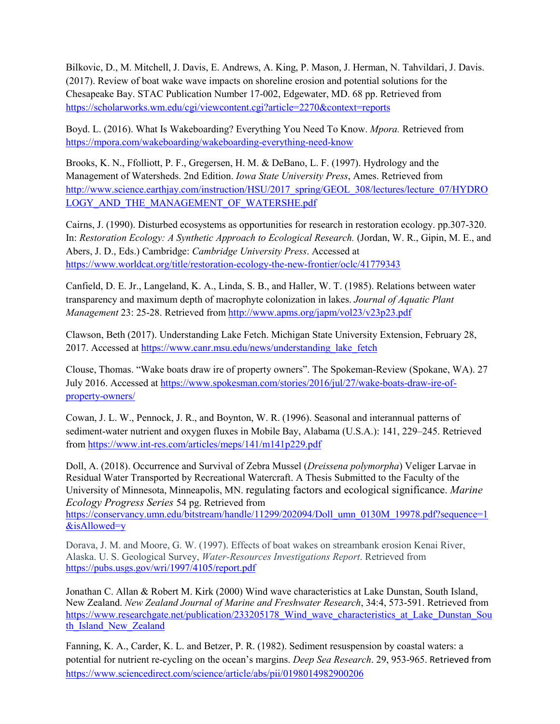Bilkovic, D., M. Mitchell, J. Davis, E. Andrews, A. King, P. Mason, J. Herman, N. Tahvildari, J. Davis. (2017). Review of boat wake wave impacts on shoreline erosion and potential solutions for the Chesapeake Bay. STAC Publication Number 17-002, Edgewater, MD. 68 pp. Retrieved from <https://scholarworks.wm.edu/cgi/viewcontent.cgi?article=2270&context=reports>

Boyd. L. (2016). What Is Wakeboarding? Everything You Need To Know. *Mpora.* Retrieved from <https://mpora.com/wakeboarding/wakeboarding-everything-need-know>

Brooks, K. N., Ffolliott, P. F., Gregersen, H. M. & DeBano, L. F. (1997). Hydrology and the Management of Watersheds. 2nd Edition. *Iowa State University Press*, Ames. Retrieved from [http://www.science.earthjay.com/instruction/HSU/2017\\_spring/GEOL\\_308/lectures/lecture\\_07/HYDRO](http://www.science.earthjay.com/instruction/HSU/2017_spring/GEOL_308/lectures/lecture_07/HYDROLOGY_AND_THE_MANAGEMENT_OF_WATERSHE.pdf) [LOGY\\_AND\\_THE\\_MANAGEMENT\\_OF\\_WATERSHE.pdf](http://www.science.earthjay.com/instruction/HSU/2017_spring/GEOL_308/lectures/lecture_07/HYDROLOGY_AND_THE_MANAGEMENT_OF_WATERSHE.pdf)

Cairns, J. (1990). Disturbed ecosystems as opportunities for research in restoration ecology. pp.307-320. In: *Restoration Ecology: A Synthetic Approach to Ecological Research.* (Jordan, W. R., Gipin, M. E., and Abers, J. D., Eds.) Cambridge: *Cambridge University Press*. Accessed at <https://www.worldcat.org/title/restoration-ecology-the-new-frontier/oclc/41779343>

Canfield, D. E. Jr., Langeland, K. A., Linda, S. B., and Haller, W. T. (1985). Relations between water transparency and maximum depth of macrophyte colonization in lakes. *Journal of Aquatic Plant Management* 23: 25-28. Retrieved from<http://www.apms.org/japm/vol23/v23p23.pdf>

Clawson, Beth (2017). Understanding Lake Fetch. Michigan State University Extension, February 28, 2017. Accessed at [https://www.canr.msu.edu/news/understanding\\_lake\\_fetch](https://www.canr.msu.edu/news/understanding_lake_fetch)

Clouse, Thomas. "Wake boats draw ire of property owners". The Spokeman-Review (Spokane, WA). 27 July 2016. Accessed at [https://www.spokesman.com/stories/2016/jul/27/wake-boats-draw-ire-of](https://www.spokesman.com/stories/2016/jul/27/wake-boats-draw-ire-of-property-owners/)[property-owners/](https://www.spokesman.com/stories/2016/jul/27/wake-boats-draw-ire-of-property-owners/)

Cowan, J. L. W., Pennock, J. R., and Boynton, W. R. (1996). Seasonal and interannual patterns of sediment-water nutrient and oxygen fluxes in Mobile Bay, Alabama (U.S.A.): 141, 229–245. Retrieved from<https://www.int-res.com/articles/meps/141/m141p229.pdf>

Doll, A. (2018). Occurrence and Survival of Zebra Mussel (*Dreissena polymorpha*) Veliger Larvae in Residual Water Transported by Recreational Watercraft. A Thesis Submitted to the Faculty of the University of Minnesota, Minneapolis, MN. regulating factors and ecological significance. *Marine Ecology Progress Series* 54 pg. Retrieved from

[https://conservancy.umn.edu/bitstream/handle/11299/202094/Doll\\_umn\\_0130M\\_19978.pdf?sequence=1](https://conservancy.umn.edu/bitstream/handle/11299/202094/Doll_umn_0130M_19978.pdf?sequence=1&isAllowed=y) [&isAllowed=y](https://conservancy.umn.edu/bitstream/handle/11299/202094/Doll_umn_0130M_19978.pdf?sequence=1&isAllowed=y)

Dorava, J. M. and Moore, G. W. (1997). Effects of boat wakes on streambank erosion Kenai River, Alaska. U. S. Geological Survey, *Water-Resources Investigations Report*. Retrieved from <https://pubs.usgs.gov/wri/1997/4105/report.pdf>

Jonathan C. Allan & Robert M. Kirk (2000) Wind wave characteristics at Lake Dunstan, South Island, New Zealand. *New Zealand Journal of Marine and Freshwater Research*, 34:4, 573-591. Retrieved from https://www.researchgate.net/publication/233205178 Wind wave characteristics at Lake Dunstan Sou th Island New Zealand

Fanning, K. A., Carder, K. L. and Betzer, P. R. (1982). Sediment resuspension by coastal waters: a potential for nutrient re-cycling on the ocean's margins. *Deep Sea Research*. 29, 953-965. Retrieved from <https://www.sciencedirect.com/science/article/abs/pii/0198014982900206>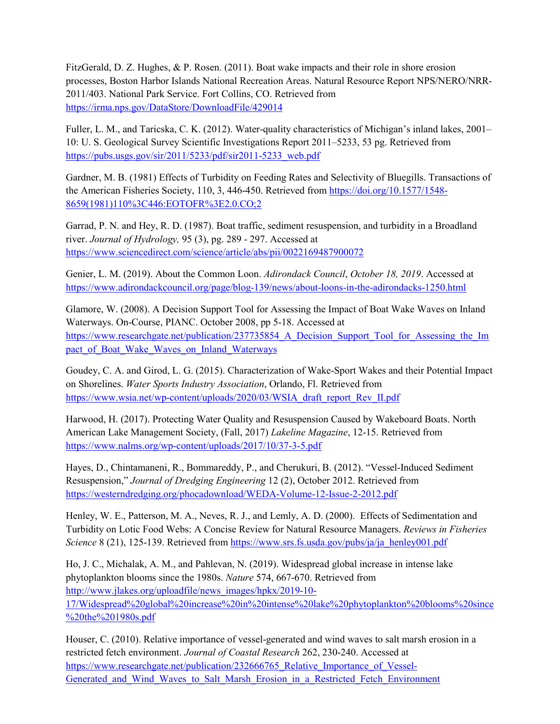FitzGerald, D. Z. Hughes, & P. Rosen. (2011). Boat wake impacts and their role in shore erosion processes, Boston Harbor Islands National Recreation Areas. Natural Resource Report NPS/NERO/NRR-2011/403. National Park Service. Fort Collins, CO. Retrieved from <https://irma.nps.gov/DataStore/DownloadFile/429014>

Fuller, L. M., and Taricska, C. K. (2012). Water-quality characteristics of Michigan's inland lakes, 2001– 10: U. S. Geological Survey Scientific Investigations Report 2011–5233, 53 pg. Retrieved from [https://pubs.usgs.gov/sir/2011/5233/pdf/sir2011-5233\\_web.pdf](https://pubs.usgs.gov/sir/2011/5233/pdf/sir2011-5233_web.pdf)

Gardner, M. B. (1981) Effects of Turbidity on Feeding Rates and Selectivity of Bluegills. Transactions of the American Fisheries Society, 110, 3, 446-450. Retrieved from [https://doi.org/10.1577/1548-](https://doi.org/10.1577/1548-8659(1981)110%3C446:EOTOFR%3E2.0.CO;2) [8659\(1981\)110%3C446:EOTOFR%3E2.0.CO;2](https://doi.org/10.1577/1548-8659(1981)110%3C446:EOTOFR%3E2.0.CO;2)

Garrad, P. N. and Hey, R. D. (1987). Boat traffic, sediment resuspension, and turbidity in a Broadland river. *Journal of Hydrology,* 95 (3), pg. 289 - 297. Accessed at <https://www.sciencedirect.com/science/article/abs/pii/0022169487900072>

Genier, L. M. (2019). About the Common Loon. *Adirondack Council*, *October 18, 2019*. Accessed at <https://www.adirondackcouncil.org/page/blog-139/news/about-loons-in-the-adirondacks-1250.html>

Glamore, W. (2008). A Decision Support Tool for Assessing the Impact of Boat Wake Waves on Inland Waterways. On-Course, PIANC. October 2008, pp 5-18. Accessed at https://www.researchgate.net/publication/237735854 A Decision Support Tool for Assessing the Im pact of Boat Wake Waves on Inland Waterways

Goudey, C. A. and Girod, L. G. (2015). Characterization of Wake-Sport Wakes and their Potential Impact on Shorelines. *Water Sports Industry Association*, Orlando, Fl. Retrieved from [https://www.wsia.net/wp-content/uploads/2020/03/WSIA\\_draft\\_report\\_Rev\\_II.pdf](https://www.wsia.net/wp-content/uploads/2020/03/WSIA_draft_report_Rev_II.pdf)

Harwood, H. (2017). Protecting Water Quality and Resuspension Caused by Wakeboard Boats. North American Lake Management Society, (Fall, 2017) *Lakeline Magazine*, 12-15. Retrieved from <https://www.nalms.org/wp-content/uploads/2017/10/37-3-5.pdf>

Hayes, D., Chintamaneni, R., Bommareddy, P., and Cherukuri, B. (2012). "Vessel-Induced Sediment Resuspension," *Journal of Dredging Engineering* 12 (2), October 2012. Retrieved from <https://westerndredging.org/phocadownload/WEDA-Volume-12-Issue-2-2012.pdf>

Henley, W. E., Patterson, M. A., Neves, R. J., and Lemly, A. D. (2000). Effects of Sedimentation and Turbidity on Lotic Food Webs: A Concise Review for Natural Resource Managers. *Reviews in Fisheries Science* 8 (21), 125-139. Retrieved from [https://www.srs.fs.usda.gov/pubs/ja/ja\\_henley001.pdf](https://www.srs.fs.usda.gov/pubs/ja/ja_henley001.pdf)

Ho, J. C., Michalak, A. M., and Pahlevan, N. (2019). Widespread global increase in intense lake phytoplankton blooms since the 1980s. *Nature* 574, 667-670. Retrieved from [http://www.jlakes.org/uploadfile/news\\_images/hpkx/2019-10-](http://www.jlakes.org/uploadfile/news_images/hpkx/2019-10-17/Widespread%20global%20increase%20in%20intense%20lake%20phytoplankton%20blooms%20since%20the%201980s.pdf) [17/Widespread%20global%20increase%20in%20intense%20lake%20phytoplankton%20blooms%20since](http://www.jlakes.org/uploadfile/news_images/hpkx/2019-10-17/Widespread%20global%20increase%20in%20intense%20lake%20phytoplankton%20blooms%20since%20the%201980s.pdf) [%20the%201980s.pdf](http://www.jlakes.org/uploadfile/news_images/hpkx/2019-10-17/Widespread%20global%20increase%20in%20intense%20lake%20phytoplankton%20blooms%20since%20the%201980s.pdf)

Houser, C. (2010). Relative importance of vessel-generated and wind waves to salt marsh erosion in a restricted fetch environment. *Journal of Coastal Research* 262, 230-240. Accessed at [https://www.researchgate.net/publication/232666765\\_Relative\\_Importance\\_of\\_Vessel-](https://www.researchgate.net/publication/232666765_Relative_Importance_of_Vessel-Generated_and_Wind_Waves_to_Salt_Marsh_Erosion_in_a_Restricted_Fetch_Environment)Generated and Wind Waves to Salt Marsh Erosion in a Restricted Fetch Environment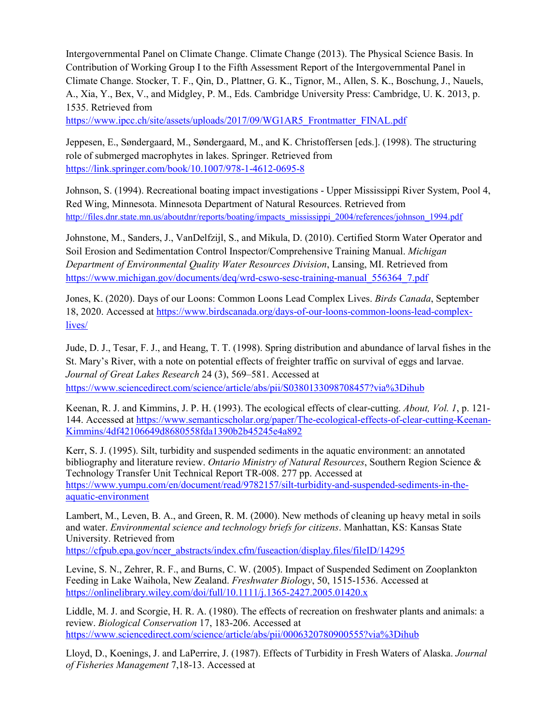Intergovernmental Panel on Climate Change. Climate Change (2013). The Physical Science Basis. In Contribution of Working Group I to the Fifth Assessment Report of the Intergovernmental Panel in Climate Change. Stocker, T. F., Qin, D., Plattner, G. K., Tignor, M., Allen, S. K., Boschung, J., Nauels, A., Xia, Y., Bex, V., and Midgley, P. M., Eds. Cambridge University Press: Cambridge, U. K. 2013, p. 1535. Retrieved from

[https://www.ipcc.ch/site/assets/uploads/2017/09/WG1AR5\\_Frontmatter\\_FINAL.pdf](https://www.ipcc.ch/site/assets/uploads/2017/09/WG1AR5_Frontmatter_FINAL.pdf)

Jeppesen, E., Søndergaard, M., Søndergaard, M., and K. Christoffersen [eds.]. (1998). The structuring role of submerged macrophytes in lakes. Springer. Retrieved from <https://link.springer.com/book/10.1007/978-1-4612-0695-8>

Johnson, S. (1994). Recreational boating impact investigations - Upper Mississippi River System, Pool 4, Red Wing, Minnesota. Minnesota Department of Natural Resources. Retrieved from [http://files.dnr.state.mn.us/aboutdnr/reports/boating/impacts\\_mississippi\\_2004/references/johnson\\_1994.pdf](http://files.dnr.state.mn.us/aboutdnr/reports/boating/impacts_mississippi_2004/references/johnson_1994.pdf)

Johnstone, M., Sanders, J., VanDelfzijl, S., and Mikula, D. (2010). Certified Storm Water Operator and Soil Erosion and Sedimentation Control Inspector/Comprehensive Training Manual. *Michigan Department of Environmental Quality Water Resources Division*, Lansing, MI. Retrieved from [https://www.michigan.gov/documents/deq/wrd-cswo-sesc-training-manual\\_556364\\_7.pdf](https://www.michigan.gov/documents/deq/wrd-cswo-sesc-training-manual_556364_7.pdf)

Jones, K. (2020). Days of our Loons: Common Loons Lead Complex Lives. *Birds Canada*, September 18, 2020. Accessed at [https://www.birdscanada.org/days-of-our-loons-common-loons-lead-complex](https://www.birdscanada.org/days-of-our-loons-common-loons-lead-complex-lives/)[lives/](https://www.birdscanada.org/days-of-our-loons-common-loons-lead-complex-lives/)

Jude, D. J., Tesar, F. J., and Heang, T. T. (1998). Spring distribution and abundance of larval fishes in the St. Mary's River, with a note on potential effects of freighter traffic on survival of eggs and larvae. *Journal of Great Lakes Research* 24 (3), 569–581. Accessed at <https://www.sciencedirect.com/science/article/abs/pii/S0380133098708457?via%3Dihub>

Keenan, R. J. and Kimmins, J. P. H. (1993). The ecological effects of clear-cutting. *About, Vol. 1*, p. 121- 144. Accessed at [https://www.semanticscholar.org/paper/The-ecological-effects-of-clear-cutting-Keenan-](https://www.semanticscholar.org/paper/The-ecological-effects-of-clear-cutting-Keenan-Kimmins/4df42106649d8680558fda1390b2b45245e4a892)[Kimmins/4df42106649d8680558fda1390b2b45245e4a892](https://www.semanticscholar.org/paper/The-ecological-effects-of-clear-cutting-Keenan-Kimmins/4df42106649d8680558fda1390b2b45245e4a892)

Kerr, S. J. (1995). Silt, turbidity and suspended sediments in the aquatic environment: an annotated bibliography and literature review. *Ontario Ministry of Natural Resources*, Southern Region Science & Technology Transfer Unit Technical Report TR-008. 277 pp. Accessed at [https://www.yumpu.com/en/document/read/9782157/silt-turbidity-and-suspended-sediments-in-the](https://www.yumpu.com/en/document/read/9782157/silt-turbidity-and-suspended-sediments-in-the-aquatic-environment)[aquatic-environment](https://www.yumpu.com/en/document/read/9782157/silt-turbidity-and-suspended-sediments-in-the-aquatic-environment)

Lambert, M., Leven, B. A., and Green, R. M. (2000). New methods of cleaning up heavy metal in soils and water. *Environmental science and technology briefs for citizens*. Manhattan, KS: Kansas State University. Retrieved from

[https://cfpub.epa.gov/ncer\\_abstracts/index.cfm/fuseaction/display.files/fileID/14295](https://cfpub.epa.gov/ncer_abstracts/index.cfm/fuseaction/display.files/fileID/14295)

Levine, S. N., Zehrer, R. F., and Burns, C. W. (2005). Impact of Suspended Sediment on Zooplankton Feeding in Lake Waihola, New Zealand. *Freshwater Biology*, 50, 1515-1536. Accessed at <https://onlinelibrary.wiley.com/doi/full/10.1111/j.1365-2427.2005.01420.x>

Liddle, M. J. and Scorgie, H. R. A. (1980). The effects of recreation on freshwater plants and animals: a review. *Biological Conservation* 17, 183-206. Accessed at <https://www.sciencedirect.com/science/article/abs/pii/0006320780900555?via%3Dihub>

Lloyd, D., Koenings, J. and LaPerrire, J. (1987). Effects of Turbidity in Fresh Waters of Alaska. *Journal of Fisheries Management* 7,18-13. Accessed at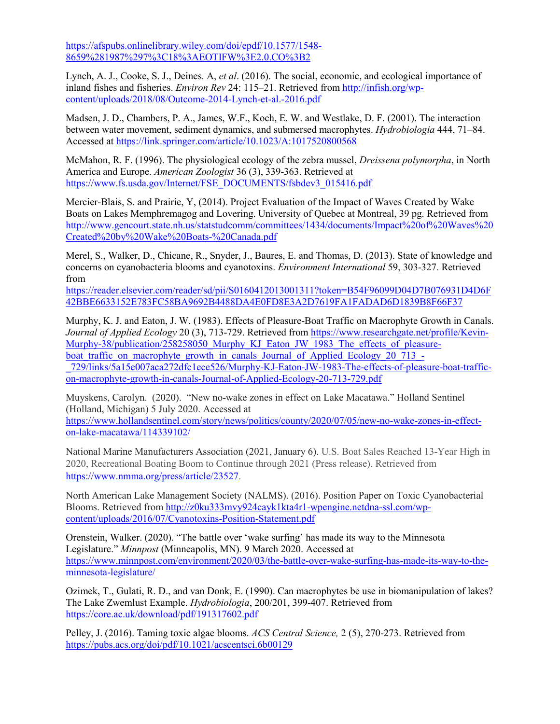[https://afspubs.onlinelibrary.wiley.com/doi/epdf/10.1577/1548-](https://afspubs.onlinelibrary.wiley.com/doi/epdf/10.1577/1548-8659%281987%297%3C18%3AEOTIFW%3E2.0.CO%3B2) [8659%281987%297%3C18%3AEOTIFW%3E2.0.CO%3B2](https://afspubs.onlinelibrary.wiley.com/doi/epdf/10.1577/1548-8659%281987%297%3C18%3AEOTIFW%3E2.0.CO%3B2)

Lynch, A. J., Cooke, S. J., Deines. A, *et al*. (2016). The social, economic, and ecological importance of inland fishes and fisheries. *Environ Rev* 24: 115–21. Retrieved from [http://infish.org/wp](http://infish.org/wp-content/uploads/2018/08/Outcome-2014-Lynch-et-al.-2016.pdf)[content/uploads/2018/08/Outcome-2014-Lynch-et-al.-2016.pdf](http://infish.org/wp-content/uploads/2018/08/Outcome-2014-Lynch-et-al.-2016.pdf)

Madsen, J. D., Chambers, P. A., James, W.F., Koch, E. W. and Westlake, D. F. (2001). The interaction between water movement, sediment dynamics, and submersed macrophytes. *Hydrobiologia* 444, 71–84. Accessed at<https://link.springer.com/article/10.1023/A:1017520800568>

McMahon, R. F. (1996). The physiological ecology of the zebra mussel, *Dreissena polymorpha*, in North America and Europe. *American Zoologist* 36 (3), 339-363. Retrieved at [https://www.fs.usda.gov/Internet/FSE\\_DOCUMENTS/fsbdev3\\_015416.pdf](https://www.fs.usda.gov/Internet/FSE_DOCUMENTS/fsbdev3_015416.pdf)

Mercier-Blais, S. and Prairie, Y, (2014). Project Evaluation of the Impact of Waves Created by Wake Boats on Lakes Memphremagog and Lovering. University of Quebec at Montreal, 39 pg. Retrieved from [http://www.gencourt.state.nh.us/statstudcomm/committees/1434/documents/Impact%20of%20Waves%20](http://www.gencourt.state.nh.us/statstudcomm/committees/1434/documents/Impact%20of%20Waves%20Created%20by%20Wake%20Boats-%20Canada.pdf) [Created%20by%20Wake%20Boats-%20Canada.pdf](http://www.gencourt.state.nh.us/statstudcomm/committees/1434/documents/Impact%20of%20Waves%20Created%20by%20Wake%20Boats-%20Canada.pdf)

Merel, S., Walker, D., Chicane, R., Snyder, J., Baures, E. and Thomas, D. (2013). State of knowledge and concerns on cyanobacteria blooms and cyanotoxins. *Environment International* 59, 303-327. Retrieved from

[https://reader.elsevier.com/reader/sd/pii/S0160412013001311?token=B54F96099D04D7B076931D4D6F](https://reader.elsevier.com/reader/sd/pii/S0160412013001311?token=B54F96099D04D7B076931D4D6F42BBE6633152E783FC58BA9692B4488DA4E0FD8E3A2D7619FA1FADAD6D1839B8F66F37) [42BBE6633152E783FC58BA9692B4488DA4E0FD8E3A2D7619FA1FADAD6D1839B8F66F37](https://reader.elsevier.com/reader/sd/pii/S0160412013001311?token=B54F96099D04D7B076931D4D6F42BBE6633152E783FC58BA9692B4488DA4E0FD8E3A2D7619FA1FADAD6D1839B8F66F37)

Murphy, K. J. and Eaton, J. W. (1983). Effects of Pleasure-Boat Traffic on Macrophyte Growth in Canals. *Journal of Applied Ecology* 20 (3), 713-729. Retrieved from [https://www.researchgate.net/profile/Kevin-](https://www.researchgate.net/profile/Kevin-Murphy-38/publication/258258050_Murphy_KJ_Eaton_JW_1983_The_effects_of_pleasure-boat_traffic_on_macrophyte_growth_in_canals_Journal_of_Applied_Ecology_20_713_-_729/links/5a15e007aca272dfc1ece526/Murphy-KJ-Eaton-JW-1983-The-effects-of-pleasure-boat-traffic-on-macrophyte-growth-in-canals-Journal-of-Applied-Ecology-20-713-729.pdf)[Murphy-38/publication/258258050\\_Murphy\\_KJ\\_Eaton\\_JW\\_1983\\_The\\_effects\\_of\\_pleasure](https://www.researchgate.net/profile/Kevin-Murphy-38/publication/258258050_Murphy_KJ_Eaton_JW_1983_The_effects_of_pleasure-boat_traffic_on_macrophyte_growth_in_canals_Journal_of_Applied_Ecology_20_713_-_729/links/5a15e007aca272dfc1ece526/Murphy-KJ-Eaton-JW-1983-The-effects-of-pleasure-boat-traffic-on-macrophyte-growth-in-canals-Journal-of-Applied-Ecology-20-713-729.pdf)boat traffic on macrophyte growth in canals Journal of Applied Ecology 20 713 -[\\_729/links/5a15e007aca272dfc1ece526/Murphy-KJ-Eaton-JW-1983-The-effects-of-pleasure-boat-traffic](https://www.researchgate.net/profile/Kevin-Murphy-38/publication/258258050_Murphy_KJ_Eaton_JW_1983_The_effects_of_pleasure-boat_traffic_on_macrophyte_growth_in_canals_Journal_of_Applied_Ecology_20_713_-_729/links/5a15e007aca272dfc1ece526/Murphy-KJ-Eaton-JW-1983-The-effects-of-pleasure-boat-traffic-on-macrophyte-growth-in-canals-Journal-of-Applied-Ecology-20-713-729.pdf)[on-macrophyte-growth-in-canals-Journal-of-Applied-Ecology-20-713-729.pdf](https://www.researchgate.net/profile/Kevin-Murphy-38/publication/258258050_Murphy_KJ_Eaton_JW_1983_The_effects_of_pleasure-boat_traffic_on_macrophyte_growth_in_canals_Journal_of_Applied_Ecology_20_713_-_729/links/5a15e007aca272dfc1ece526/Murphy-KJ-Eaton-JW-1983-The-effects-of-pleasure-boat-traffic-on-macrophyte-growth-in-canals-Journal-of-Applied-Ecology-20-713-729.pdf)

Muyskens, Carolyn. (2020). "New no-wake zones in effect on Lake Macatawa." Holland Sentinel (Holland, Michigan) 5 July 2020. Accessed at [https://www.hollandsentinel.com/story/news/politics/county/2020/07/05/new-no-wake-zones-in-effect-](https://www.hollandsentinel.com/story/news/politics/county/2020/07/05/new-no-wake-zones-in-effect-on-lake-macatawa/114339102/)

[on-lake-macatawa/114339102/](https://www.hollandsentinel.com/story/news/politics/county/2020/07/05/new-no-wake-zones-in-effect-on-lake-macatawa/114339102/) National Marine Manufacturers Association (2021, January 6). U.S. Boat Sales Reached 13-Year High in

2020, Recreational Boating Boom to Continue through 2021 (Press release). Retrieved from [https://www.nmma.org/press/article/23527.](https://www.nmma.org/press/article/23527)

North American Lake Management Society (NALMS). (2016). Position Paper on Toxic Cyanobacterial Blooms. Retrieved from [http://z0ku333mvy924cayk1kta4r1-wpengine.netdna-ssl.com/wp](http://z0ku333mvy924cayk1kta4r1-wpengine.netdna-ssl.com/wp-content/uploads/2016/07/Cyanotoxins-Position-Statement.pdf)[content/uploads/2016/07/Cyanotoxins-Position-Statement.pdf](http://z0ku333mvy924cayk1kta4r1-wpengine.netdna-ssl.com/wp-content/uploads/2016/07/Cyanotoxins-Position-Statement.pdf)

Orenstein, Walker. (2020). "The battle over 'wake surfing' has made its way to the Minnesota Legislature." *Minnpost* (Minneapolis, MN). 9 March 2020. Accessed at [https://www.minnpost.com/environment/2020/03/the-battle-over-wake-surfing-has-made-its-way-to-the](https://www.minnpost.com/environment/2020/03/the-battle-over-wake-surfing-has-made-its-way-to-the-minnesota-legislature/)[minnesota-legislature/](https://www.minnpost.com/environment/2020/03/the-battle-over-wake-surfing-has-made-its-way-to-the-minnesota-legislature/)

Ozimek, T., Gulati, R. D., and van Donk, E. (1990). Can macrophytes be use in biomanipulation of lakes? The Lake Zwemlust Example. *Hydrobiologia*, 200/201, 399-407. Retrieved from <https://core.ac.uk/download/pdf/191317602.pdf>

Pelley, J. (2016). Taming toxic algae blooms. *ACS Central Science,* 2 (5), 270-273. Retrieved from <https://pubs.acs.org/doi/pdf/10.1021/acscentsci.6b00129>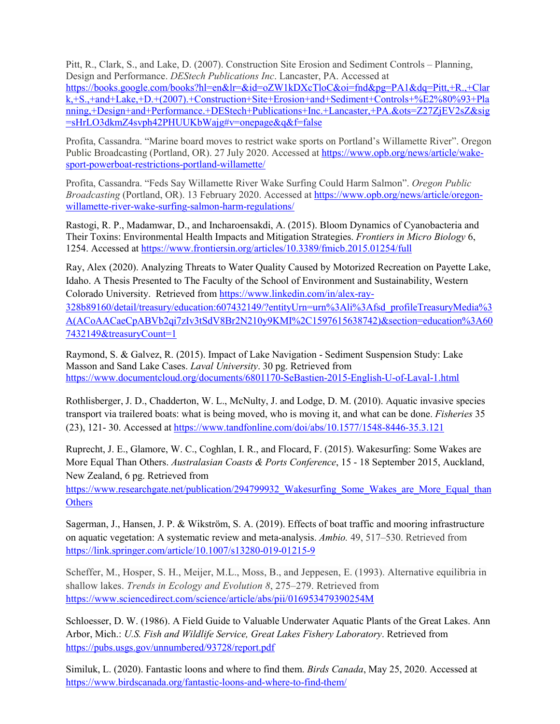Pitt, R., Clark, S., and Lake, D. (2007). Construction Site Erosion and Sediment Controls – Planning, Design and Performance. *DEStech Publications Inc*. Lancaster, PA. Accessed at [https://books.google.com/books?hl=en&lr=&id=oZW1kDXcTloC&oi=fnd&pg=PA1&dq=Pitt,+R.,+Clar](https://books.google.com/books?hl=en&lr=&id=oZW1kDXcTloC&oi=fnd&pg=PA1&dq=Pitt,+R.,+Clark,+S.,+and+Lake,+D.+(2007).+Construction+Site+Erosion+and+Sediment+Controls+%E2%80%93+Planning,+Design+and+Performance.+DEStech+Publications+Inc.+Lancaster,+PA.&ots=Z27ZjEV2sZ&sig=sHrLO3dkmZ4svph42PHUUKbWajg%23v=onepage&q&f=false) [k,+S.,+and+Lake,+D.+\(2007\).+Construction+Site+Erosion+and+Sediment+Controls+%E2%80%93+Pla](https://books.google.com/books?hl=en&lr=&id=oZW1kDXcTloC&oi=fnd&pg=PA1&dq=Pitt,+R.,+Clark,+S.,+and+Lake,+D.+(2007).+Construction+Site+Erosion+and+Sediment+Controls+%E2%80%93+Planning,+Design+and+Performance.+DEStech+Publications+Inc.+Lancaster,+PA.&ots=Z27ZjEV2sZ&sig=sHrLO3dkmZ4svph42PHUUKbWajg%23v=onepage&q&f=false) [nning,+Design+and+Performance.+DEStech+Publications+Inc.+Lancaster,+PA.&ots=Z27ZjEV2sZ&sig](https://books.google.com/books?hl=en&lr=&id=oZW1kDXcTloC&oi=fnd&pg=PA1&dq=Pitt,+R.,+Clark,+S.,+and+Lake,+D.+(2007).+Construction+Site+Erosion+and+Sediment+Controls+%E2%80%93+Planning,+Design+and+Performance.+DEStech+Publications+Inc.+Lancaster,+PA.&ots=Z27ZjEV2sZ&sig=sHrLO3dkmZ4svph42PHUUKbWajg%23v=onepage&q&f=false) [=sHrLO3dkmZ4svph42PHUUKbWajg#v=onepage&q&f=false](https://books.google.com/books?hl=en&lr=&id=oZW1kDXcTloC&oi=fnd&pg=PA1&dq=Pitt,+R.,+Clark,+S.,+and+Lake,+D.+(2007).+Construction+Site+Erosion+and+Sediment+Controls+%E2%80%93+Planning,+Design+and+Performance.+DEStech+Publications+Inc.+Lancaster,+PA.&ots=Z27ZjEV2sZ&sig=sHrLO3dkmZ4svph42PHUUKbWajg%23v=onepage&q&f=false)

Profita, Cassandra. "Marine board moves to restrict wake sports on Portland's Willamette River". Oregon Public Broadcasting (Portland, OR). 27 July 2020. Accessed at [https://www.opb.org/news/article/wake](https://www.opb.org/news/article/wake-sport-powerboat-restrictions-portland-willamette/)[sport-powerboat-restrictions-portland-willamette/](https://www.opb.org/news/article/wake-sport-powerboat-restrictions-portland-willamette/)

Profita, Cassandra. "Feds Say Willamette River Wake Surfing Could Harm Salmon". *Oregon Public Broadcasting* (Portland, OR). 13 February 2020. Accessed at [https://www.opb.org/news/article/oregon](https://www.opb.org/news/article/oregon-willamette-river-wake-surfing-salmon-harm-regulations/)[willamette-river-wake-surfing-salmon-harm-regulations/](https://www.opb.org/news/article/oregon-willamette-river-wake-surfing-salmon-harm-regulations/)

Rastogi, R. P., Madamwar, D., and Incharoensakdi, A. (2015). Bloom Dynamics of Cyanobacteria and Their Toxins: Environmental Health Impacts and Mitigation Strategies. *Frontiers in Micro Biology* 6, 1254. Accessed at<https://www.frontiersin.org/articles/10.3389/fmicb.2015.01254/full>

Ray, Alex (2020). Analyzing Threats to Water Quality Caused by Motorized Recreation on Payette Lake, Idaho. A Thesis Presented to The Faculty of the School of Environment and Sustainability, Western Colorado University. Retrieved from [https://www.linkedin.com/in/alex-ray-](https://www.linkedin.com/in/alex-ray-328b89160/detail/treasury/education:607432149/?entityUrn=urn%3Ali%3Afsd_profileTreasuryMedia%3A(ACoAACaeCpABVb2qi7zIv3tSdV8Br2N210y9KMI%2C1597615638742)§ion=education%3A607432149&treasuryCount=1)[328b89160/detail/treasury/education:607432149/?entityUrn=urn%3Ali%3Afsd\\_profileTreasuryMedia%3](https://www.linkedin.com/in/alex-ray-328b89160/detail/treasury/education:607432149/?entityUrn=urn%3Ali%3Afsd_profileTreasuryMedia%3A(ACoAACaeCpABVb2qi7zIv3tSdV8Br2N210y9KMI%2C1597615638742)§ion=education%3A607432149&treasuryCount=1) [A\(ACoAACaeCpABVb2qi7zIv3tSdV8Br2N210y9KMI%2C1597615638742\)&section=education%3A60](https://www.linkedin.com/in/alex-ray-328b89160/detail/treasury/education:607432149/?entityUrn=urn%3Ali%3Afsd_profileTreasuryMedia%3A(ACoAACaeCpABVb2qi7zIv3tSdV8Br2N210y9KMI%2C1597615638742)§ion=education%3A607432149&treasuryCount=1) [7432149&treasuryCount=1](https://www.linkedin.com/in/alex-ray-328b89160/detail/treasury/education:607432149/?entityUrn=urn%3Ali%3Afsd_profileTreasuryMedia%3A(ACoAACaeCpABVb2qi7zIv3tSdV8Br2N210y9KMI%2C1597615638742)§ion=education%3A607432149&treasuryCount=1)

Raymond, S. & Galvez, R. (2015). Impact of Lake Navigation - Sediment Suspension Study: Lake Masson and Sand Lake Cases. *Laval University*. 30 pg. Retrieved from <https://www.documentcloud.org/documents/6801170-SeBastien-2015-English-U-of-Laval-1.html>

Rothlisberger, J. D., Chadderton, W. L., McNulty, J. and Lodge, D. M. (2010). Aquatic invasive species transport via trailered boats: what is being moved, who is moving it, and what can be done. *Fisheries* 35 (23), 121- 30. Accessed at<https://www.tandfonline.com/doi/abs/10.1577/1548-8446-35.3.121>

Ruprecht, J. E., Glamore, W. C., Coghlan, I. R., and Flocard, F. (2015). Wakesurfing: Some Wakes are More Equal Than Others. *Australasian Coasts & Ports Conference*, 15 - 18 September 2015, Auckland, New Zealand, 6 pg. Retrieved from

[https://www.researchgate.net/publication/294799932\\_Wakesurfing\\_Some\\_Wakes\\_are\\_More\\_Equal\\_than](https://www.researchgate.net/publication/294799932_Wakesurfing_Some_Wakes_are_More_Equal_thanOthers) **[Others](https://www.researchgate.net/publication/294799932_Wakesurfing_Some_Wakes_are_More_Equal_thanOthers)** 

Sagerman, J., Hansen, J. P. & Wikström, S. A. (2019). Effects of boat traffic and mooring infrastructure on aquatic vegetation: A systematic review and meta-analysis. *Ambio.* 49, 517–530. Retrieved from <https://link.springer.com/article/10.1007/s13280-019-01215-9>

Scheffer, M., Hosper, S. H., Meijer, M.L., Moss, B., and Jeppesen, E. (1993). Alternative equilibria in shallow lakes. *Trends in Ecology and Evolution 8*, 275–279. Retrieved from <https://www.sciencedirect.com/science/article/abs/pii/016953479390254M>

Schloesser, D. W. (1986). A Field Guide to Valuable Underwater Aquatic Plants of the Great Lakes. Ann Arbor, Mich.: *U.S. Fish and Wildlife Service, Great Lakes Fishery Laboratory*. Retrieved from <https://pubs.usgs.gov/unnumbered/93728/report.pdf>

Similuk, L. (2020). Fantastic loons and where to find them. *Birds Canada*, May 25, 2020. Accessed at <https://www.birdscanada.org/fantastic-loons-and-where-to-find-them/>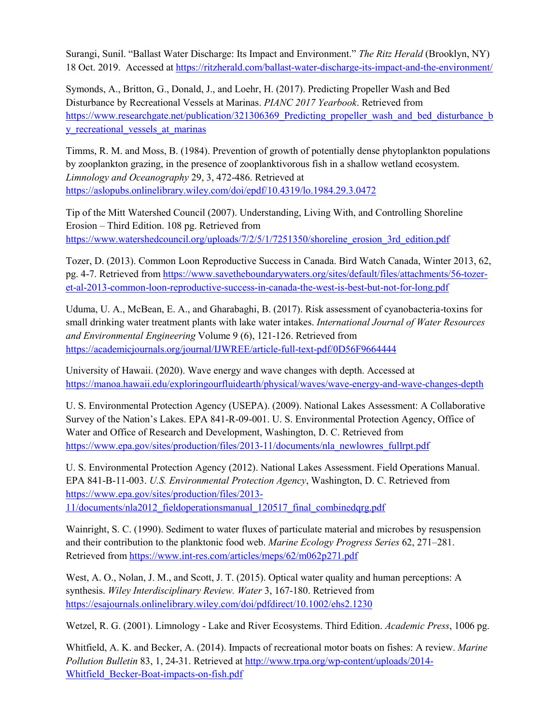Surangi, Sunil. "Ballast Water Discharge: Its Impact and Environment." *The Ritz Herald* (Brooklyn, NY) 18 Oct. 2019. Accessed at<https://ritzherald.com/ballast-water-discharge-its-impact-and-the-environment/>

Symonds, A., Britton, G., Donald, J., and Loehr, H. (2017). Predicting Propeller Wash and Bed Disturbance by Recreational Vessels at Marinas. *PIANC 2017 Yearbook*. Retrieved from https://www.researchgate.net/publication/321306369 Predicting propeller wash and bed disturbance b y recreational vessels at marinas

Timms, R. M. and Moss, B. (1984). Prevention of growth of potentially dense phytoplankton populations by zooplankton grazing, in the presence of zooplanktivorous fish in a shallow wetland ecosystem. *Limnology and Oceanography* 29, 3, 472-486. Retrieved at <https://aslopubs.onlinelibrary.wiley.com/doi/epdf/10.4319/lo.1984.29.3.0472>

Tip of the Mitt Watershed Council (2007). Understanding, Living With, and Controlling Shoreline Erosion – Third Edition. 108 pg. Retrieved from [https://www.watershedcouncil.org/uploads/7/2/5/1/7251350/shoreline\\_erosion\\_3rd\\_edition.pdf](https://www.watershedcouncil.org/uploads/7/2/5/1/7251350/shoreline_erosion_3rd_edition.pdf)

Tozer, D. (2013). Common Loon Reproductive Success in Canada. Bird Watch Canada, Winter 2013, 62, pg. 4-7. Retrieved from [https://www.savetheboundarywaters.org/sites/default/files/attachments/56-tozer](https://www.savetheboundarywaters.org/sites/default/files/attachments/56-tozer-et-al-2013-common-loon-reproductive-success-in-canada-the-west-is-best-but-not-for-long.pdf)[et-al-2013-common-loon-reproductive-success-in-canada-the-west-is-best-but-not-for-long.pdf](https://www.savetheboundarywaters.org/sites/default/files/attachments/56-tozer-et-al-2013-common-loon-reproductive-success-in-canada-the-west-is-best-but-not-for-long.pdf)

Uduma, U. A., McBean, E. A., and Gharabaghi, B. (2017). Risk assessment of cyanobacteria-toxins for small drinking water treatment plants with lake water intakes. *International Journal of Water Resources and Environmental Engineering* Volume 9 (6), 121-126. Retrieved from <https://academicjournals.org/journal/IJWREE/article-full-text-pdf/0D56F9664444>

University of Hawaii. (2020). Wave energy and wave changes with depth. Accessed at <https://manoa.hawaii.edu/exploringourfluidearth/physical/waves/wave-energy-and-wave-changes-depth>

U. S. Environmental Protection Agency (USEPA). (2009). National Lakes Assessment: A Collaborative Survey of the Nation's Lakes. EPA 841-R-09-001. U. S. Environmental Protection Agency, Office of Water and Office of Research and Development, Washington, D. C. Retrieved from [https://www.epa.gov/sites/production/files/2013-11/documents/nla\\_newlowres\\_fullrpt.pdf](https://www.epa.gov/sites/production/files/2013-11/documents/nla_newlowres_fullrpt.pdf)

U. S. Environmental Protection Agency (2012). National Lakes Assessment. Field Operations Manual. EPA 841-B-11-003. *U.S. Environmental Protection Agency*, Washington, D. C. Retrieved from [https://www.epa.gov/sites/production/files/2013-](https://www.epa.gov/sites/production/files/2013-11/documents/nla2012_fieldoperationsmanual_120517_final_combinedqrg.pdf) [11/documents/nla2012\\_fieldoperationsmanual\\_120517\\_final\\_combinedqrg.pdf](https://www.epa.gov/sites/production/files/2013-11/documents/nla2012_fieldoperationsmanual_120517_final_combinedqrg.pdf)

Wainright, S. C. (1990). Sediment to water fluxes of particulate material and microbes by resuspension and their contribution to the planktonic food web. *Marine Ecology Progress Series* 62, 271–281. Retrieved fro[m https://www.int-res.com/articles/meps/62/m062p271.pdf](https://www.int-res.com/articles/meps/62/m062p271.pdf)

West, A. O., Nolan, J. M., and Scott, J. T. (2015). Optical water quality and human perceptions: A synthesis. *Wiley Interdisciplinary Review. Water* 3, 167-180. Retrieved from <https://esajournals.onlinelibrary.wiley.com/doi/pdfdirect/10.1002/ehs2.1230>

Wetzel, R. G. (2001). Limnology - Lake and River Ecosystems. Third Edition. *Academic Press*, 1006 pg.

Whitfield, A. K. and Becker, A. (2014). Impacts of recreational motor boats on fishes: A review. *Marine Pollution Bulletin* 83, 1, 24-31. Retrieved at [http://www.trpa.org/wp-content/uploads/2014-](http://www.trpa.org/wp-content/uploads/2014-Whitfield_Becker-Boat-impacts-on-fish.pdf) [Whitfield\\_Becker-Boat-impacts-on-fish.pdf](http://www.trpa.org/wp-content/uploads/2014-Whitfield_Becker-Boat-impacts-on-fish.pdf)